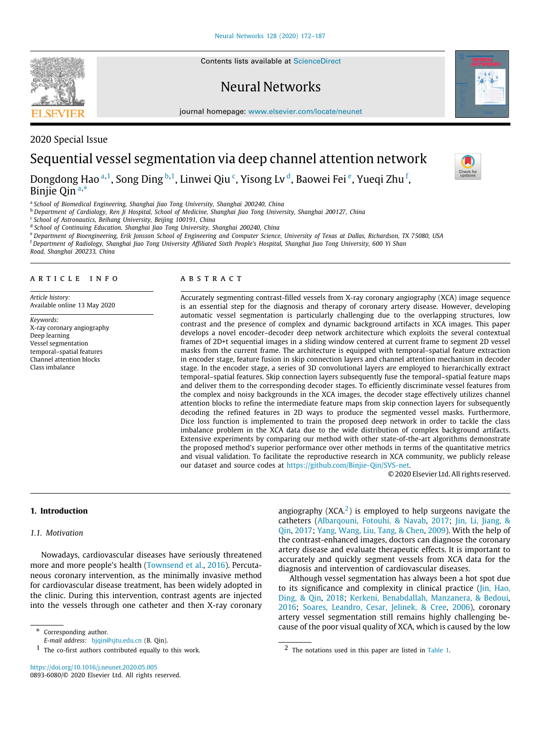Contents lists available at [ScienceDirect](http://www.elsevier.com/locate/neunet)

## Neural Networks

journal homepage: [www.elsevier.com/locate/neunet](http://www.elsevier.com/locate/neunet)





2020 Special Issue

# Sequential vessel segmentation via deep channel attention network

Dongdong H[a](#page-0-0)o <sup>a,[1](#page-0-1)</sup>, Song Ding <sup>[b](#page-0-2),1</sup>, Linwei Qiu <sup>[c](#page-0-3)</sup>, Yisong Lv <sup>[d](#page-0-4)</sup>, Baow[e](#page-0-5)i Fei <sup>e</sup>, Yueqi Zhu <sup>[f](#page-0-6)</sup>, Binjie Qin [a](#page-0-0),\*

<span id="page-0-0"></span>a *School of Biomedical Engineering, Shanghai Jiao Tong University, Shanghai 200240, China*

<span id="page-0-2"></span><sup>b</sup> *Department of Cardiology, Ren Ji Hospital, School of Medicine, Shanghai Jiao Tong University, Shanghai 200127, China*

<span id="page-0-3"></span>c *School of Astronautics, Beihang University, Beijing 100191, China*

<span id="page-0-4"></span>d *School of Continuing Education, Shanghai Jiao Tong University, Shanghai 200240, China*

<span id="page-0-5"></span><sup>e</sup> *Department of Bioengineering, Erik Jonsson School of Engineering and Computer Science, University of Texas at Dallas, Richardson, TX 75080, USA*

<span id="page-0-6"></span><sup>f</sup> *Department of Radiology, Shanghai Jiao Tong University Affiliated Sixth People's Hospital, Shanghai Jiao Tong University, 600 Yi Shan*

*Road, Shanghai 200233, China*

#### ARTICLE INFO

*Article history:* Available online 13 May 2020

*Keywords:* X-ray coronary angiography Deep learning Vessel segmentation temporal–spatial features Channel attention blocks Class imbalance

#### A B S T R A C T

Accurately segmenting contrast-filled vessels from X-ray coronary angiography (XCA) image sequence is an essential step for the diagnosis and therapy of coronary artery disease. However, developing automatic vessel segmentation is particularly challenging due to the overlapping structures, low contrast and the presence of complex and dynamic background artifacts in XCA images. This paper develops a novel encoder–decoder deep network architecture which exploits the several contextual frames of 2D+t sequential images in a sliding window centered at current frame to segment 2D vessel masks from the current frame. The architecture is equipped with temporal–spatial feature extraction in encoder stage, feature fusion in skip connection layers and channel attention mechanism in decoder stage. In the encoder stage, a series of 3D convolutional layers are employed to hierarchically extract temporal–spatial features. Skip connection layers subsequently fuse the temporal–spatial feature maps and deliver them to the corresponding decoder stages. To efficiently discriminate vessel features from the complex and noisy backgrounds in the XCA images, the decoder stage effectively utilizes channel attention blocks to refine the intermediate feature maps from skip connection layers for subsequently decoding the refined features in 2D ways to produce the segmented vessel masks. Furthermore, Dice loss function is implemented to train the proposed deep network in order to tackle the class imbalance problem in the XCA data due to the wide distribution of complex background artifacts. Extensive experiments by comparing our method with other state-of-the-art algorithms demonstrate the proposed method's superior performance over other methods in terms of the quantitative metrics and visual validation. To facilitate the reproductive research in XCA community, we publicly release our dataset and source codes at <https://github.com/Binjie-Qin/SVS-net>.

<span id="page-0-8"></span>© 2020 Elsevier Ltd. All rights reserved.

#### **1. Introduction**

#### *1.1. Motivation*

Nowadays, cardiovascular diseases have seriously threatened more and more people's health [\(Townsend et al.](#page-15-0), [2016\)](#page-15-0). Percutaneous coronary intervention, as the minimally invasive method for cardiovascular disease treatment, has been widely adopted in the clinic. During this intervention, contrast agents are injected into the vessels through one catheter and then X-ray coronary

<span id="page-0-7"></span>∗ Corresponding author.

<https://doi.org/10.1016/j.neunet.2020.05.005> 0893-6080/© 2020 Elsevier Ltd. All rights reserved. angiography  $(XCA<sup>2</sup>)$  $(XCA<sup>2</sup>)$  $(XCA<sup>2</sup>)$  is employed to help surgeons navigate the catheters [\(Albarqouni, Fotouhi, & Navab](#page-14-0), [2017;](#page-14-0) [Jin, Li, Jiang, &](#page-14-1) [Qin](#page-14-1), [2017;](#page-14-1) [Yang, Wang, Liu, Tang, & Chen](#page-15-1), [2009\)](#page-15-1). With the help of the contrast-enhanced images, doctors can diagnose the coronary artery disease and evaluate therapeutic effects. It is important to accurately and quickly segment vessels from XCA data for the diagnosis and intervention of cardiovascular diseases.

Although vessel segmentation has always been a hot spot due to its significance and complexity in clinical practice ([Jin, Hao,](#page-14-2) [Ding, & Qin,](#page-14-2) [2018;](#page-14-2) [Kerkeni, Benabdallah, Manzanera, & Bedoui,](#page-14-3) [2016;](#page-14-3) [Soares, Leandro, Cesar, Jelinek, & Cree,](#page-15-2) [2006](#page-15-2)), coronary artery vessel segmentation still remains highly challenging because of the poor visual quality of XCA, which is caused by the low

*E-mail address:* [bjqin@sjtu.edu.cn](mailto:bjqin@sjtu.edu.cn) (B. Qin).

<span id="page-0-1"></span> $1$  The co-first authors contributed equally to this work.

<sup>2</sup> The notations used in this paper are listed in [Table](#page-1-0) [1.](#page-1-0)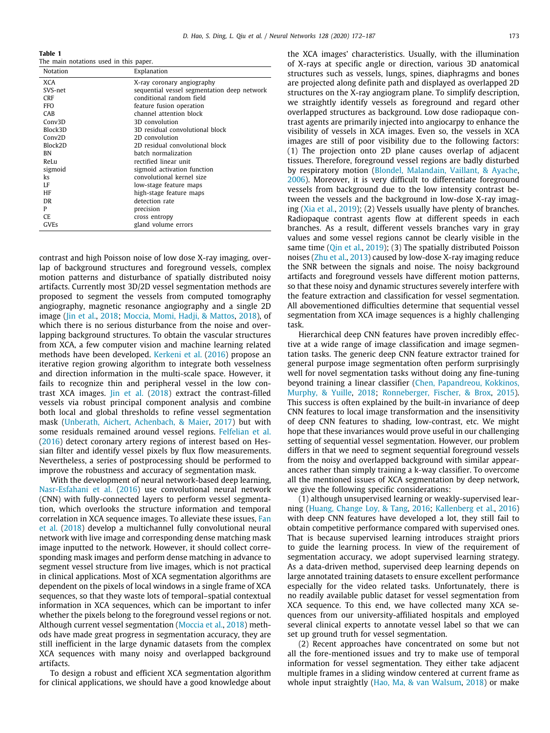<span id="page-1-0"></span>**Table 1** The main notations used in this paper.

| Notation            | Explanation                                 |
|---------------------|---------------------------------------------|
| XCA                 | X-ray coronary angiography                  |
| SVS-net             | sequential vessel segmentation deep network |
| CRF                 | conditional random field                    |
| <b>FFO</b>          | feature fusion operation                    |
| CAB                 | channel attention block                     |
| Conv3D              | 3D convolution                              |
| Block3D             | 3D residual convolutional block             |
| Conv <sub>2</sub> D | 2D convolution                              |
| Block2D             | 2D residual convolutional block             |
| ΒN                  | batch normalization                         |
| ReLu                | rectified linear unit                       |
| sigmoid             | sigmoid activation function                 |
| ks                  | convolutional kernel size                   |
| LF                  | low-stage feature maps                      |
| HF                  | high-stage feature maps                     |
| DR.                 | detection rate                              |
| P                   | precision                                   |
| CE.                 | cross entropy                               |
| GVEs                | gland volume errors                         |

contrast and high Poisson noise of low dose X-ray imaging, overlap of background structures and foreground vessels, complex motion patterns and disturbance of spatially distributed noisy artifacts. Currently most 3D/2D vessel segmentation methods are proposed to segment the vessels from computed tomography angiography, magnetic resonance angiography and a single 2D image ([Jin et al.,](#page-14-2) [2018](#page-14-2); [Moccia, Momi, Hadji, & Mattos](#page-15-3), [2018](#page-15-3)), of which there is no serious disturbance from the noise and overlapping background structures. To obtain the vascular structures from XCA, a few computer vision and machine learning related methods have been developed. [Kerkeni et al.](#page-14-3) ([2016](#page-14-3)) propose an iterative region growing algorithm to integrate both vesselness and direction information in the multi-scale space. However, it fails to recognize thin and peripheral vessel in the low contrast XCA images. [Jin et al.](#page-14-2) [\(2018\)](#page-14-2) extract the contrast-filled vessels via robust principal component analysis and combine both local and global thresholds to refine vessel segmentation mask [\(Unberath, Aichert, Achenbach, & Maier](#page-15-4), [2017\)](#page-15-4) but with some residuals remained around vessel regions. [Felfelian et al.](#page-14-4) ([2016\)](#page-14-4) detect coronary artery regions of interest based on Hessian filter and identify vessel pixels by flux flow measurements. Nevertheless, a series of postprocessing should be performed to improve the robustness and accuracy of segmentation mask.

With the development of neural network-based deep learning, [Nasr-Esfahani et al.](#page-15-5) ([2016\)](#page-15-5) use convolutional neural network (CNN) with fully-connected layers to perform vessel segmentation, which overlooks the structure information and temporal correlation in XCA sequence images. To alleviate these issues, [Fan](#page-14-5) [et al.](#page-14-5) [\(2018](#page-14-5)) develop a multichannel fully convolutional neural network with live image and corresponding dense matching mask image inputted to the network. However, it should collect corresponding mask images and perform dense matching in advance to segment vessel structure from live images, which is not practical in clinical applications. Most of XCA segmentation algorithms are dependent on the pixels of local windows in a single frame of XCA sequences, so that they waste lots of temporal–spatial contextual information in XCA sequences, which can be important to infer whether the pixels belong to the foreground vessel regions or not. Although current vessel segmentation [\(Moccia et al.](#page-15-3), [2018\)](#page-15-3) methods have made great progress in segmentation accuracy, they are still inefficient in the large dynamic datasets from the complex XCA sequences with many noisy and overlapped background artifacts.

To design a robust and efficient XCA segmentation algorithm for clinical applications, we should have a good knowledge about the XCA images' characteristics. Usually, with the illumination of X-rays at specific angle or direction, various 3D anatomical structures such as vessels, lungs, spines, diaphragms and bones are projected along definite path and displayed as overlapped 2D structures on the X-ray angiogram plane. To simplify description, we straightly identify vessels as foreground and regard other overlapped structures as background. Low dose radiopaque contrast agents are primarily injected into angiocarpy to enhance the visibility of vessels in XCA images. Even so, the vessels in XCA images are still of poor visibility due to the following factors: (1) The projection onto 2D plane causes overlap of adjacent tissues. Therefore, foreground vessel regions are badly disturbed by respiratory motion [\(Blondel, Malandain, Vaillant, & Ayache,](#page-14-6) [2006\)](#page-14-6). Moreover, it is very difficult to differentiate foreground vessels from background due to the low intensity contrast between the vessels and the background in low-dose X-ray imaging [\(Xia et al.,](#page-15-6) [2019](#page-15-6)); (2) Vessels usually have plenty of branches. Radiopaque contrast agents flow at different speeds in each branches. As a result, different vessels branches vary in gray values and some vessel regions cannot be clearly visible in the same time [\(Qin et al.,](#page-15-7) [2019\)](#page-15-7); (3) The spatially distributed Poisson noises ([Zhu et al.](#page-15-8), [2013](#page-15-8)) caused by low-dose X-ray imaging reduce the SNR between the signals and noise. The noisy background artifacts and foreground vessels have different motion patterns, so that these noisy and dynamic structures severely interfere with the feature extraction and classification for vessel segmentation. All abovementioned difficulties determine that sequential vessel segmentation from XCA image sequences is a highly challenging task.

Hierarchical deep CNN features have proven incredibly effective at a wide range of image classification and image segmentation tasks. The generic deep CNN feature extractor trained for general purpose image segmentation often perform surprisingly well for novel segmentation tasks without doing any fine-tuning beyond training a linear classifier ([Chen, Papandreou, Kokkinos,](#page-14-7) [Murphy, & Yuille](#page-14-7), [2018;](#page-14-7) [Ronneberger, Fischer, & Brox,](#page-15-9) [2015\)](#page-15-9). This success is often explained by the built-in invariance of deep CNN features to local image transformation and the insensitivity of deep CNN features to shading, low-contrast, etc. We might hope that these invariances would prove useful in our challenging setting of sequential vessel segmentation. However, our problem differs in that we need to segment sequential foreground vessels from the noisy and overlapped background with similar appearances rather than simply training a k-way classifier. To overcome all the mentioned issues of XCA segmentation by deep network, we give the following specific considerations:

(1) although unsupervised learning or weakly-supervised learning ([Huang, Change Loy, & Tang,](#page-14-8) [2016;](#page-14-8) [Kallenberg et al.](#page-14-9), [2016\)](#page-14-9) with deep CNN features have developed a lot, they still fail to obtain competitive performance compared with supervised ones. That is because supervised learning introduces straight priors to guide the learning process. In view of the requirement of segmentation accuracy, we adopt supervised learning strategy. As a data-driven method, supervised deep learning depends on large annotated training datasets to ensure excellent performance especially for the video related tasks. Unfortunately, there is no readily available public dataset for vessel segmentation from XCA sequence. To this end, we have collected many XCA sequences from our university-affiliated hospitals and employed several clinical experts to annotate vessel label so that we can set up ground truth for vessel segmentation.

(2) Recent approaches have concentrated on some but not all the fore-mentioned issues and try to make use of temporal information for vessel segmentation. They either take adjacent multiple frames in a sliding window centered at current frame as whole input straightly ([Hao, Ma, & van Walsum,](#page-14-10) [2018](#page-14-10)) or make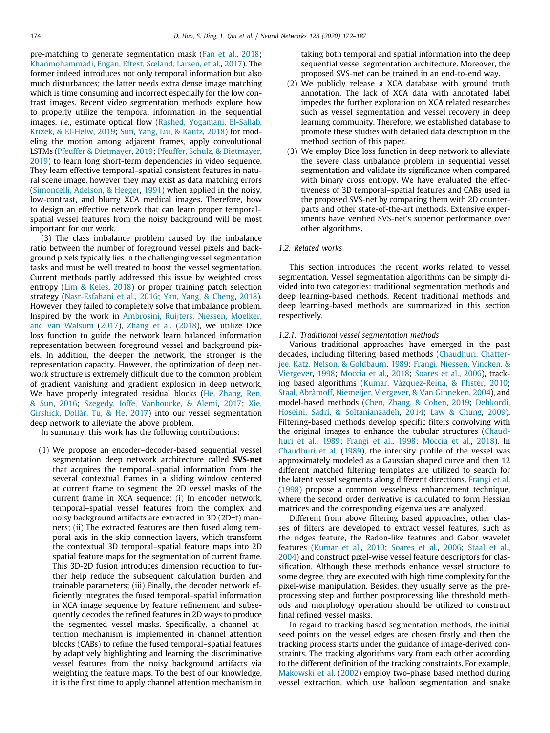pre-matching to generate segmentation mask [\(Fan et al.](#page-14-5), [2018;](#page-14-5) [Khanmohammadi, Engan, Eftest, Sœland, Larsen, et al.](#page-14-11), [2017\)](#page-14-11). The former indeed introduces not only temporal information but also much disturbances; the latter needs extra dense image matching which is time consuming and incorrect especially for the low contrast images. Recent video segmentation methods explore how to properly utilize the temporal information in the sequential images, *i.e.*, estimate optical flow ([Rashed, Yogamani, El-Sallab,](#page-15-10) [Krizek, & El-Helw,](#page-15-10) [2019;](#page-15-10) [Sun, Yang, Liu, & Kautz,](#page-15-11) [2018\)](#page-15-11) for modeling the motion among adjacent frames, apply convolutional LSTMs [\(Pfeuffer & Dietmayer,](#page-15-12) [2019;](#page-15-12) [Pfeuffer, Schulz, & Dietmayer,](#page-15-13) [2019\)](#page-15-13) to learn long short-term dependencies in video sequence. They learn effective temporal–spatial consistent features in natural scene image, however they may exist as data matching errors ([Simoncelli, Adelson, & Heeger](#page-15-14), [1991](#page-15-14)) when applied in the noisy, low-contrast, and blurry XCA medical images. Therefore, how to design an effective network that can learn proper temporal– spatial vessel features from the noisy background will be most important for our work.

(3) The class imbalance problem caused by the imbalance ratio between the number of foreground vessel pixels and background pixels typically lies in the challenging vessel segmentation tasks and must be well treated to boost the vessel segmentation. Current methods partly addressed this issue by weighted cross entropy ([Lim & Keles](#page-14-12), [2018](#page-14-12)) or proper training patch selection strategy [\(Nasr-Esfahani et al.](#page-15-5), [2016;](#page-15-5) [Yan, Yang, & Cheng](#page-15-15), [2018\)](#page-15-15). However, they failed to completely solve that imbalance problem. Inspired by the work in [Ambrosini, Ruijters, Niessen, Moelker,](#page-14-13) [and van Walsum](#page-14-13) [\(2017](#page-14-13)), [Zhang et al.](#page-15-16) ([2018](#page-15-16)), we utilize Dice loss function to guide the network learn balanced information representation between foreground vessel and background pixels. In addition, the deeper the network, the stronger is the representation capacity. However, the optimization of deep network structure is extremely difficult due to the common problem of gradient vanishing and gradient explosion in deep network. We have properly integrated residual blocks ([He, Zhang, Ren,](#page-14-14) [& Sun,](#page-14-14) [2016;](#page-14-14) [Szegedy, Ioffe, Vanhoucke, & Alemi,](#page-15-17) [2017;](#page-15-17) [Xie,](#page-15-18) [Girshick, Dollár, Tu, & He,](#page-15-18) [2017\)](#page-15-18) into our vessel segmentation deep network to alleviate the above problem.

In summary, this work has the following contributions:

(1) We propose an encoder–decoder-based sequential vessel segmentation deep network architecture called **SVS-net** that acquires the temporal–spatial information from the several contextual frames in a sliding window centered at current frame to segment the 2D vessel masks of the current frame in XCA sequence: (i) In encoder network, temporal–spatial vessel features from the complex and noisy background artifacts are extracted in 3D (2D+t) manners; (ii) The extracted features are then fused along temporal axis in the skip connection layers, which transform the contextual 3D temporal–spatial feature maps into 2D spatial feature maps for the segmentation of current frame. This 3D-2D fusion introduces dimension reduction to further help reduce the subsequent calculation burden and trainable parameters; (iii) Finally, the decoder network efficiently integrates the fused temporal–spatial information in XCA image sequence by feature refinement and subsequently decodes the refined features in 2D ways to produce the segmented vessel masks. Specifically, a channel attention mechanism is implemented in channel attention blocks (CABs) to refine the fused temporal–spatial features by adaptively highlighting and learning the discriminative vessel features from the noisy background artifacts via weighting the feature maps. To the best of our knowledge, it is the first time to apply channel attention mechanism in taking both temporal and spatial information into the deep sequential vessel segmentation architecture. Moreover, the proposed SVS-net can be trained in an end-to-end way.

- (2) We publicly release a XCA database with ground truth annotation. The lack of XCA data with annotated label impedes the further exploration on XCA related researches such as vessel segmentation and vessel recovery in deep learning community. Therefore, we established database to promote these studies with detailed data description in the method section of this paper.
- (3) We employ Dice loss function in deep network to alleviate the severe class unbalance problem in sequential vessel segmentation and validate its significance when compared with binary cross entropy. We have evaluated the effectiveness of 3D temporal–spatial features and CABs used in the proposed SVS-net by comparing them with 2D counterparts and other state-of-the-art methods. Extensive experiments have verified SVS-net's superior performance over other algorithms.

#### *1.2. Related works*

This section introduces the recent works related to vessel segmentation. Vessel segmentation algorithms can be simply divided into two categories: traditional segmentation methods and deep learning-based methods. Recent traditional methods and deep learning-based methods are summarized in this section respectively.

#### *1.2.1. Traditional vessel segmentation methods*

Various traditional approaches have emerged in the past decades, including filtering based methods ([Chaudhuri, Chatter](#page-14-15)[jee, Katz, Nelson, & Goldbaum,](#page-14-15) [1989;](#page-14-15) [Frangi, Niessen, Vincken, &](#page-14-16) [Viergever,](#page-14-16) [1998;](#page-14-16) [Moccia et al.](#page-15-3), [2018;](#page-15-3) [Soares et al.](#page-15-2), [2006\)](#page-15-2), tracking based algorithms ([Kumar, Vázquez-Reina, & Pfister](#page-14-17), [2010;](#page-14-17) [Staal, Abràmoff, Niemeijer, Viergever, & Van Ginneken](#page-15-19), [2004](#page-15-19)), and model-based methods ([Chen, Zhang, & Cohen,](#page-14-18) [2019;](#page-14-18) [Dehkordi,](#page-14-19) [Hoseini, Sadri, & Soltanianzadeh,](#page-14-19) [2014;](#page-14-19) [Law & Chung,](#page-14-20) [2009\)](#page-14-20). Filtering-based methods develop specific filters convolving with the original images to enhance the tubular structures [\(Chaud](#page-14-15)[huri et al.,](#page-14-15) [1989](#page-14-15); [Frangi et al.,](#page-14-16) [1998](#page-14-16); [Moccia et al.](#page-15-3), [2018\)](#page-15-3). In [Chaudhuri et al.](#page-14-15) [\(1989\)](#page-14-15), the intensity profile of the vessel was approximately modeled as a Gaussian shaped curve and then 12 different matched filtering templates are utilized to search for the latent vessel segments along different directions. [Frangi et al.](#page-14-16) ([1998\)](#page-14-16) propose a common vesselness enhancement technique, where the second order derivative is calculated to form Hessian matrices and the corresponding eigenvalues are analyzed.

Different from above filtering based approaches, other classes of filters are developed to extract vessel features, such as the ridges feature, the Radon-like features and Gabor wavelet features [\(Kumar et al.](#page-14-17), [2010;](#page-14-17) [Soares et al.](#page-15-2), [2006;](#page-15-2) [Staal et al.,](#page-15-19) [2004\)](#page-15-19) and construct pixel-wise vessel feature descriptors for classification. Although these methods enhance vessel structure to some degree, they are executed with high time complexity for the pixel-wise manipulation. Besides, they usually serve as the preprocessing step and further postprocessing like threshold methods and morphology operation should be utilized to construct final refined vessel masks.

In regard to tracking based segmentation methods, the initial seed points on the vessel edges are chosen firstly and then the tracking process starts under the guidance of image-derived constraints. The tracking algorithms vary from each other according to the different definition of the tracking constraints. For example, [Makowski et al.](#page-15-20) [\(2002](#page-15-20)) employ two-phase based method during vessel extraction, which use balloon segmentation and snake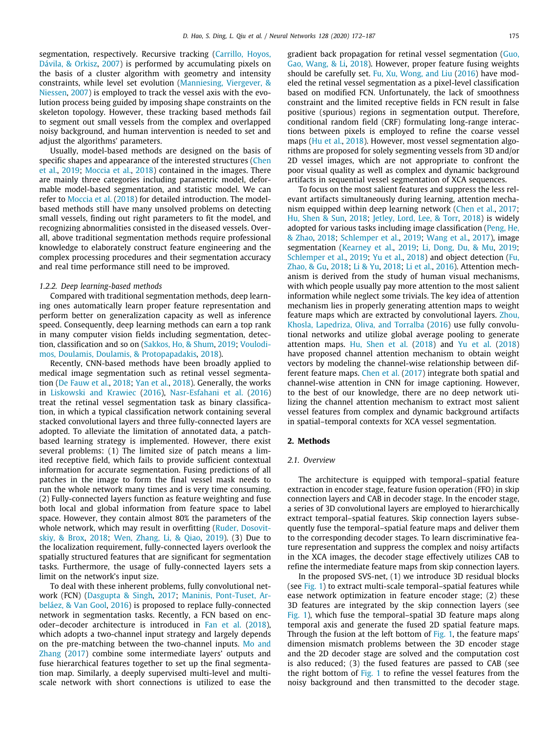segmentation, respectively. Recursive tracking [\(Carrillo, Hoyos,](#page-14-21) [Dávila, & Orkisz](#page-14-21), [2007\)](#page-14-21) is performed by accumulating pixels on the basis of a cluster algorithm with geometry and intensity constraints, while level set evolution [\(Manniesing, Viergever, &](#page-15-21) [Niessen](#page-15-21), [2007\)](#page-15-21) is employed to track the vessel axis with the evolution process being guided by imposing shape constraints on the skeleton topology. However, these tracking based methods fail to segment out small vessels from the complex and overlapped noisy background, and human intervention is needed to set and adjust the algorithms' parameters.

Usually, model-based methods are designed on the basis of specific shapes and appearance of the interested structures [\(Chen](#page-14-18) [et al.,](#page-14-18) [2019](#page-14-18); [Moccia et al.,](#page-15-3) [2018](#page-15-3)) contained in the images. There are mainly three categories including parametric model, deformable model-based segmentation, and statistic model. We can refer to [Moccia et al.](#page-15-3) ([2018\)](#page-15-3) for detailed introduction. The modelbased methods still have many unsolved problems on detecting small vessels, finding out right parameters to fit the model, and recognizing abnormalities consisted in the diseased vessels. Overall, above traditional segmentation methods require professional knowledge to elaborately construct feature engineering and the complex processing procedures and their segmentation accuracy and real time performance still need to be improved.

#### *1.2.2. Deep learning-based methods*

Compared with traditional segmentation methods, deep learning ones automatically learn proper feature representation and perform better on generalization capacity as well as inference speed. Consequently, deep learning methods can earn a top rank in many computer vision fields including segmentation, detection, classification and so on [\(Sakkos, Ho, & Shum,](#page-15-22) [2019](#page-15-22); [Voulodi](#page-15-23)[mos, Doulamis, Doulamis, & Protopapadakis,](#page-15-23) [2018\)](#page-15-23).

Recently, CNN-based methods have been broadly applied to medical image segmentation such as retinal vessel segmentation [\(De Fauw et al.](#page-14-22), [2018;](#page-14-22) [Yan et al.,](#page-15-15) [2018](#page-15-15)). Generally, the works in [Liskowski and Krawiec](#page-14-23) [\(2016\)](#page-14-23), [Nasr-Esfahani et al.](#page-15-5) [\(2016\)](#page-15-5) treat the retinal vessel segmentation task as binary classification, in which a typical classification network containing several stacked convolutional layers and three fully-connected layers are adopted. To alleviate the limitation of annotated data, a patchbased learning strategy is implemented. However, there exist several problems: (1) The limited size of patch means a limited receptive field, which fails to provide sufficient contextual information for accurate segmentation. Fusing predictions of all patches in the image to form the final vessel mask needs to run the whole network many times and is very time consuming. (2) Fully-connected layers function as feature weighting and fuse both local and global information from feature space to label space. However, they contain almost 80% the parameters of the whole network, which may result in overfitting [\(Ruder, Dosovit](#page-15-24)[skiy, & Brox](#page-15-24), [2018;](#page-15-24) [Wen, Zhang, Li, & Qiao](#page-15-25), [2019](#page-15-25)). (3) Due to the localization requirement, fully-connected layers overlook the spatially structured features that are significant for segmentation tasks. Furthermore, the usage of fully-connected layers sets a limit on the network's input size.

To deal with these inherent problems, fully convolutional network (FCN) ([Dasgupta & Singh](#page-14-24), [2017](#page-14-24); [Maninis, Pont-Tuset, Ar](#page-15-26)[beláez, & Van Gool](#page-15-26), [2016](#page-15-26)) is proposed to replace fully-connected network in segmentation tasks. Recently, a FCN based on encoder–decoder architecture is introduced in [Fan et al.](#page-14-5) [\(2018\)](#page-14-5), which adopts a two-channel input strategy and largely depends on the pre-matching between the two-channel inputs. [Mo and](#page-15-27) [Zhang](#page-15-27) [\(2017\)](#page-15-27) combine some intermediate layers' outputs and fuse hierarchical features together to set up the final segmentation map. Similarly, a deeply supervised multi-level and multiscale network with short connections is utilized to ease the gradient back propagation for retinal vessel segmentation [\(Guo,](#page-14-25) [Gao, Wang, & Li](#page-14-25), [2018\)](#page-14-25). However, proper feature fusing weights should be carefully set. [Fu, Xu, Wong, and Liu](#page-14-26) ([2016\)](#page-14-26) have modeled the retinal vessel segmentation as a pixel-level classification based on modified FCN. Unfortunately, the lack of smoothness constraint and the limited receptive fields in FCN result in false positive (spurious) regions in segmentation output. Therefore, conditional random field (CRF) formulating long-range interactions between pixels is employed to refine the coarse vessel maps ([Hu et al.](#page-14-27), [2018](#page-14-27)). However, most vessel segmentation algorithms are proposed for solely segmenting vessels from 3D and/or 2D vessel images, which are not appropriate to confront the poor visual quality as well as complex and dynamic background artifacts in sequential vessel segmentation of XCA sequences.

To focus on the most salient features and suppress the less relevant artifacts simultaneously during learning, attention mechanism equipped within deep learning network [\(Chen et al.,](#page-14-28) [2017;](#page-14-28) [Hu, Shen & Sun](#page-14-29), [2018;](#page-14-29) [Jetley, Lord, Lee, & Torr](#page-14-30), [2018\)](#page-14-30) is widely adopted for various tasks including image classification [\(Peng, He,](#page-15-28) [& Zhao](#page-15-28), [2018](#page-15-28); [Schlemper et al.](#page-15-29), [2019](#page-15-29); [Wang et al.,](#page-15-30) [2017](#page-15-30)), image segmentation ([Kearney et al.,](#page-14-31) [2019;](#page-14-31) [Li, Dong, Du, & Mu,](#page-14-32) [2019;](#page-14-32) [Schlemper et al.](#page-15-29), [2019](#page-15-29); [Yu et al.,](#page-15-31) [2018\)](#page-15-31) and object detection [\(Fu,](#page-14-33) [Zhao, & Gu,](#page-14-33) [2018;](#page-14-33) [Li & Yu,](#page-14-34) [2018](#page-14-34); [Li et al.,](#page-14-35) [2016\)](#page-14-35). Attention mechanism is derived from the study of human visual mechanisms, with which people usually pay more attention to the most salient information while neglect some trivials. The key idea of attention mechanism lies in properly generating attention maps to weight feature maps which are extracted by convolutional layers. [Zhou,](#page-15-32) [Khosla, Lapedriza, Oliva, and Torralba](#page-15-32) [\(2016](#page-15-32)) use fully convolutional networks and utilize global average pooling to generate attention maps. [Hu, Shen et al.](#page-14-29) ([2018](#page-14-29)) and [Yu et al.](#page-15-31) [\(2018\)](#page-15-31) have proposed channel attention mechanism to obtain weight vectors by modeling the channel-wise relationship between different feature maps. [Chen et al.](#page-14-28) [\(2017\)](#page-14-28) integrate both spatial and channel-wise attention in CNN for image captioning. However, to the best of our knowledge, there are no deep network utilizing the channel attention mechanism to extract most salient vessel features from complex and dynamic background artifacts in spatial–temporal contexts for XCA vessel segmentation.

#### **2. Methods**

#### *2.1. Overview*

The architecture is equipped with temporal–spatial feature extraction in encoder stage, feature fusion operation (FFO) in skip connection layers and CAB in decoder stage. In the encoder stage, a series of 3D convolutional layers are employed to hierarchically extract temporal–spatial features. Skip connection layers subsequently fuse the temporal–spatial feature maps and deliver them to the corresponding decoder stages. To learn discriminative feature representation and suppress the complex and noisy artifacts in the XCA images, the decoder stage effectively utilizes CAB to refine the intermediate feature maps from skip connection layers.

In the proposed SVS-net, (1) we introduce 3D residual blocks (see [Fig.](#page-4-0) [1\)](#page-4-0) to extract multi-scale temporal–spatial features while ease network optimization in feature encoder stage; (2) these 3D features are integrated by the skip connection layers (see [Fig.](#page-4-0) [1\)](#page-4-0), which fuse the temporal–spatial 3D feature maps along temporal axis and generate the fused 2D spatial feature maps. Through the fusion at the left bottom of [Fig.](#page-4-0) [1](#page-4-0), the feature maps' dimension mismatch problems between the 3D encoder stage and the 2D decoder stage are solved and the computation cost is also reduced; (3) the fused features are passed to CAB (see the right bottom of [Fig.](#page-4-0) [1](#page-4-0) to refine the vessel features from the noisy background and then transmitted to the decoder stage.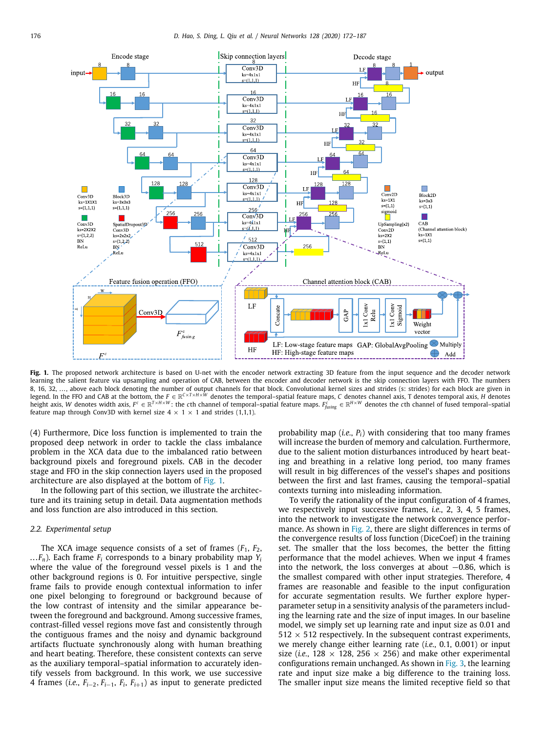

<span id="page-4-0"></span>Fig. 1. The proposed network architecture is based on U-net with the encoder network extracting 3D feature from the input sequence and the decoder network learning the salient feature via upsampling and operation of CAB, between the encoder and decoder network is the skip connection layers with FFO. The numbers 8, 16, 32, …, above each block denoting the number of output channels for that block. Convolutional kernel sizes and strides (s: strides) for each block are given in<br>legend. In the FFO and CAB at the bottom, the F ∈ ℝ<sup>C×T</sup> height axis, W denotes width axis,  $F^c \in \mathbb{R}^{T \times H \times W}$ : the cth channel of temporal–spatial feature maps.  $F^{\tilde{c}}_{\text{using}} \in \mathbb{R}^{H \times W}$  denotes the cth channel of fused temporal–spatial feature map through Conv3D with kernel size  $4 \times 1 \times 1$  and strides (1,1,1).

(4) Furthermore, Dice loss function is implemented to train the proposed deep network in order to tackle the class imbalance problem in the XCA data due to the imbalanced ratio between background pixels and foreground pixels. CAB in the decoder stage and FFO in the skip connection layers used in the proposed architecture are also displayed at the bottom of [Fig.](#page-4-0) [1](#page-4-0).

In the following part of this section, we illustrate the architecture and its training setup in detail. Data augmentation methods and loss function are also introduced in this section.

#### *2.2. Experimental setup*

<span id="page-4-1"></span>The XCA image sequence consists of a set of frames  $(F_1, F_2,$ ... $F_n$ ). Each frame  $F_i$  corresponds to a binary probability map  $Y_i$ where the value of the foreground vessel pixels is 1 and the other background regions is 0. For intuitive perspective, single frame fails to provide enough contextual information to infer one pixel belonging to foreground or background because of the low contrast of intensity and the similar appearance between the foreground and background. Among successive frames, contrast-filled vessel regions move fast and consistently through the contiguous frames and the noisy and dynamic background artifacts fluctuate synchronously along with human breathing and heart beating. Therefore, these consistent contexts can serve as the auxiliary temporal–spatial information to accurately identify vessels from background. In this work, we use successive 4 frames (*i.e.*, *Fi*−2, *Fi*−1, *F<sup>i</sup>* , *Fi*+1) as input to generate predicted

probability map (*i.e.*, *Pi*) with considering that too many frames will increase the burden of memory and calculation. Furthermore, due to the salient motion disturbances introduced by heart beating and breathing in a relative long period, too many frames will result in big differences of the vessel's shapes and positions between the first and last frames, causing the temporal–spatial contexts turning into misleading information.

To verify the rationality of the input configuration of 4 frames, we respectively input successive frames, *i.e.*, 2, 3, 4, 5 frames, into the network to investigate the network convergence perfor-mance. As shown in [Fig.](#page-5-0) [2](#page-5-0), there are slight differences in terms of the convergence results of loss function (DiceCoef) in the training set. The smaller that the loss becomes, the better the fitting performance that the model achieves. When we input 4 frames into the network, the loss converges at about −0.86, which is the smallest compared with other input strategies. Therefore, 4 frames are reasonable and feasible to the input configuration for accurate segmentation results. We further explore hyperparameter setup in a sensitivity analysis of the parameters including the learning rate and the size of input images. In our baseline model, we simply set up learning rate and input size as 0.01 and  $512 \times 512$  respectively. In the subsequent contrast experiments, we merely change either learning rate (*i.e.*, 0.1, 0.001) or input size (*i.e.*, 128  $\times$  128, 256  $\times$  256) and make other experimental configurations remain unchanged. As shown in [Fig.](#page-5-1) [3,](#page-5-1) the learning rate and input size make a big difference to the training loss. The smaller input size means the limited receptive field so that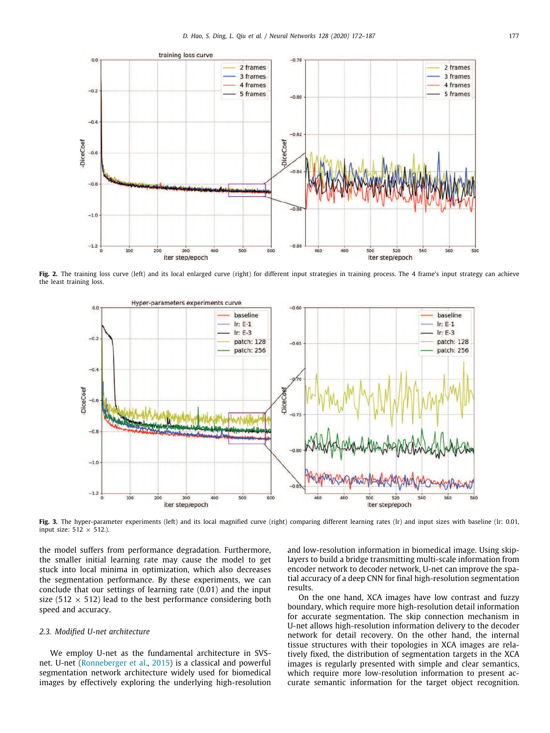

<span id="page-5-0"></span>Fig. 2. The training loss curve (left) and its local enlarged curve (right) for different input strategies in training process. The 4 frame's input strategy can achieve the least training loss.



<span id="page-5-1"></span>Fig. 3. The hyper-parameter experiments (left) and its local magnified curve (right) comparing different learning rates (lr) and input sizes with baseline (lr: 0.01, input size:  $512 \times 512$ .).

the model suffers from performance degradation. Furthermore, the smaller initial learning rate may cause the model to get stuck into local minima in optimization, which also decreases the segmentation performance. By these experiments, we can conclude that our settings of learning rate (0.01) and the input size (512  $\times$  512) lead to the best performance considering both speed and accuracy.

#### *2.3. Modified U-net architecture*

We employ U-net as the fundamental architecture in SVSnet. U-net [\(Ronneberger et al.,](#page-15-9) [2015\)](#page-15-9) is a classical and powerful segmentation network architecture widely used for biomedical images by effectively exploring the underlying high-resolution and low-resolution information in biomedical image. Using skiplayers to build a bridge transmitting multi-scale information from encoder network to decoder network, U-net can improve the spatial accuracy of a deep CNN for final high-resolution segmentation results.

On the one hand, XCA images have low contrast and fuzzy boundary, which require more high-resolution detail information for accurate segmentation. The skip connection mechanism in U-net allows high-resolution information delivery to the decoder network for detail recovery. On the other hand, the internal tissue structures with their topologies in XCA images are relatively fixed, the distribution of segmentation targets in the XCA images is regularly presented with simple and clear semantics, which require more low-resolution information to present accurate semantic information for the target object recognition.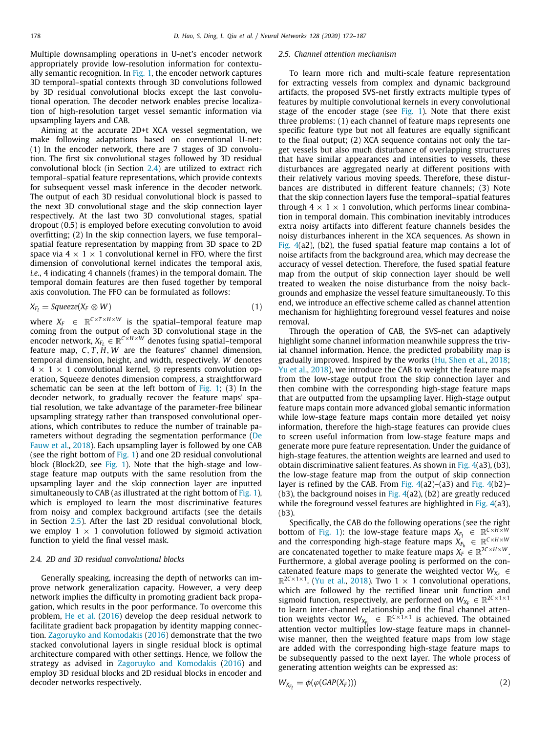Multiple downsampling operations in U-net's encoder network appropriately provide low-resolution information for contextually semantic recognition. In [Fig.](#page-4-0) [1](#page-4-0), the encoder network captures 3D temporal–spatial contexts through 3D convolutions followed by 3D residual convolutional blocks except the last convolutional operation. The decoder network enables precise localization of high-resolution target vessel semantic information via upsampling layers and CAB.

Aiming at the accurate 2D+t XCA vessel segmentation, we make following adaptations based on conventional U-net: (1) In the encoder network, there are 7 stages of 3D convolution. The first six convolutional stages followed by 3D residual convolutional block (in Section [2.4](#page-6-0)) are utilized to extract rich temporal–spatial feature representations, which provide contexts for subsequent vessel mask inference in the decoder network. The output of each 3D residual convolutional block is passed to the next 3D convolutional stage and the skip connection layer respectively. At the last two 3D convolutional stages, spatial dropout (0.5) is employed before executing convolution to avoid overfitting; (2) In the skip connection layers, we fuse temporal– spatial feature representation by mapping from 3D space to 2D space via  $4 \times 1 \times 1$  convolutional kernel in FFO, where the first dimension of convolutional kernel indicates the temporal axis, *i.e.*, 4 indicating 4 channels (frames) in the temporal domain. The temporal domain features are then fused together by temporal axis convolution. The FFO can be formulated as follows:

$$
X_{F_l} = \text{Squeeze}(X_F \otimes W) \tag{1}
$$

where  $X_F$   $\in \mathbb{R}^{C \times T \times H \times W}$  is the spatial–temporal feature map coming from the output of each 3D convolutional stage in the encoder network,  $X_{F_L} \in \mathbb{R}^{C \times H \times W}$  denotes fusing spatial–temporal feature map,  $C, T, \tilde{H}, W$  are the features' channel dimension, temporal dimension, height, and width, respectively. *W* denotes  $4 \times 1 \times 1$  convolutional kernel,  $\otimes$  represents convolution operation, Squeeze denotes dimension compress, a straightforward schematic can be seen at the left bottom of [Fig.](#page-4-0) [1;](#page-4-0) (3) In the decoder network, to gradually recover the feature maps' spatial resolution, we take advantage of the parameter-free bilinear upsampling strategy rather than transposed convolutional operations, which contributes to reduce the number of trainable parameters without degrading the segmentation performance [\(De](#page-14-22) [Fauw et al.](#page-14-22), [2018](#page-14-22)). Each upsampling layer is followed by one CAB (see the right bottom of [Fig.](#page-4-0) [1\)](#page-4-0) and one 2D residual convolutional block (Block2D, see [Fig.](#page-4-0) [1](#page-4-0)). Note that the high-stage and lowstage feature map outputs with the same resolution from the upsampling layer and the skip connection layer are inputted simultaneously to CAB (as illustrated at the right bottom of [Fig.](#page-4-0) [1\)](#page-4-0), which is employed to learn the most discriminative features from noisy and complex background artifacts (see the details in Section [2.5](#page-6-1)). After the last 2D residual convolutional block, we employ  $1 \times 1$  convolution followed by sigmoid activation function to yield the final vessel mask.

#### *2.4. 2D and 3D residual convolutional blocks*

<span id="page-6-0"></span>Generally speaking, increasing the depth of networks can improve network generalization capacity. However, a very deep network implies the difficulty in promoting gradient back propagation, which results in the poor performance. To overcome this problem, [He et al.](#page-14-14) ([2016](#page-14-14)) develop the deep residual network to facilitate gradient back propagation by identity mapping connection. [Zagoruyko and Komodakis](#page-15-33) [\(2016](#page-15-33)) demonstrate that the two stacked convolutional layers in single residual block is optimal architecture compared with other settings. Hence, we follow the strategy as advised in [Zagoruyko and Komodakis](#page-15-33) [\(2016\)](#page-15-33) and employ 3D residual blocks and 2D residual blocks in encoder and decoder networks respectively.

#### *2.5. Channel attention mechanism*

<span id="page-6-1"></span>To learn more rich and multi-scale feature representation for extracting vessels from complex and dynamic background artifacts, the proposed SVS-net firstly extracts multiple types of features by multiple convolutional kernels in every convolutional stage of the encoder stage (see [Fig.](#page-4-0) [1](#page-4-0)). Note that there exist three problems: (1) each channel of feature maps represents one specific feature type but not all features are equally significant to the final output; (2) XCA sequence contains not only the target vessels but also much disturbance of overlapping structures that have similar appearances and intensities to vessels, these disturbances are aggregated nearly at different positions with their relatively various moving speeds. Therefore, these disturbances are distributed in different feature channels; (3) Note that the skip connection layers fuse the temporal–spatial features through  $4 \times 1 \times 1$  convolution, which performs linear combination in temporal domain. This combination inevitably introduces extra noisy artifacts into different feature channels besides the noisy disturbances inherent in the XCA sequences. As shown in [Fig.](#page-7-0) [4](#page-7-0)(a2), (b2), the fused spatial feature map contains a lot of noise artifacts from the background area, which may decrease the accuracy of vessel detection. Therefore, the fused spatial feature map from the output of skip connection layer should be well treated to weaken the noise disturbance from the noisy backgrounds and emphasize the vessel feature simultaneously. To this end, we introduce an effective scheme called as channel attention mechanism for highlighting foreground vessel features and noise removal.

Through the operation of CAB, the SVS-net can adaptively highlight some channel information meanwhile suppress the trivial channel information. Hence, the predicted probability map is gradually improved. Inspired by the works ([Hu, Shen et al.](#page-14-29), [2018;](#page-14-29) [Yu et al.,](#page-15-31) [2018](#page-15-31)), we introduce the CAB to weight the feature maps from the low-stage output from the skip connection layer and then combine with the corresponding high-stage feature maps that are outputted from the upsampling layer. High-stage output feature maps contain more advanced global semantic information while low-stage feature maps contain more detailed yet noisy information, therefore the high-stage features can provide clues to screen useful information from low-stage feature maps and generate more pure feature representation. Under the guidance of high-stage features, the attention weights are learned and used to obtain discriminative salient features. As shown in [Fig.](#page-7-0)  $4(a3)$  $4(a3)$ , (b3), the low-stage feature map from the output of skip connection layer is refined by the CAB. From [Fig.](#page-7-0) [4\(](#page-7-0)a2)–(a3) and [Fig.](#page-7-0) [4](#page-7-0)(b2)– (b3), the background noises in [Fig.](#page-7-0)  $4(a2)$  $4(a2)$ , (b2) are greatly reduced while the foreground vessel features are highlighted in [Fig.](#page-7-0) [4\(](#page-7-0)a3), (b3).

Specifically, the CAB do the following operations (see the right bottom of [Fig.](#page-4-0) [1\)](#page-4-0): the low-stage feature maps  $X_{F_l} \in \mathbb{R}^{C \times H \times W}$ and the corresponding high-stage feature maps  $X_{F_h}^i \in \mathbb{R}^{C \times H \times W}$ are concatenated together to make feature maps  $X_F^{\perp} \in \mathbb{R}^{2C \times H \times W}$ . Furthermore, a global average pooling is performed on the concatenated feature maps to generate the weighted vector  $W_{X_F} \in$  $\mathbb{R}^{2C \times 1 \times 1}$ . [\(Yu et al.](#page-15-31), [2018\)](#page-15-31). Two 1  $\times$  1 convolutional operations, which are followed by the rectified linear unit function and sigmoid function, respectively, are performed on  $W_{X_F} \in \mathbb{R}^{2C \times 1 \times 1}$ to learn inter-channel relationship and the final channel attention weights vector  $W_{X_{F_i}} \in \mathbb{R}^{C \times 1 \times 1}$  is achieved. The obtained attention vector multiplies low-stage feature maps in channelwise manner, then the weighted feature maps from low stage are added with the corresponding high-stage feature maps to be subsequently passed to the next layer. The whole process of generating attention weights can be expressed as:

$$
W_{X_{F_l}} = \phi(\varphi(GAP(X_F)))
$$
\n(2)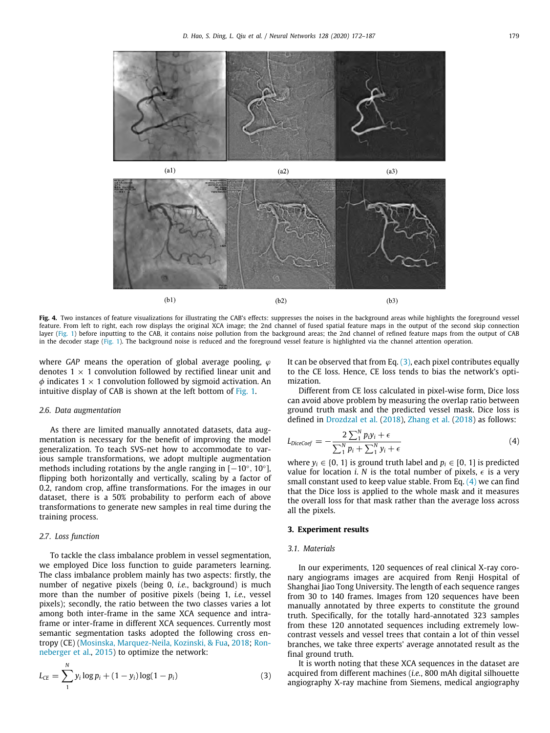



<span id="page-7-0"></span>Fig. 4. Two instances of feature visualizations for illustrating the CAB's effects: suppresses the noises in the background areas while highlights the foreground vessel feature. From left to right, each row displays the original XCA image; the 2nd channel of fused spatial feature maps in the output of the second skip connection layer [\(Fig.](#page-4-0) [1](#page-4-0)) before inputting to the CAB, it contains noise pollution from the background areas; the 2nd channel of refined feature maps from the output of CAB in the decoder stage [\(Fig.](#page-4-0) [1\)](#page-4-0). The background noise is reduced and the foreground vessel feature is highlighted via the channel attention operation.

where *GAP* means the operation of global average pooling,  $\varphi$ denotes  $1 \times 1$  convolution followed by rectified linear unit and  $\phi$  indicates 1  $\times$  1 convolution followed by sigmoid activation. An intuitive display of CAB is shown at the left bottom of [Fig.](#page-4-0) [1](#page-4-0).

#### *2.6. Data augmentation*

As there are limited manually annotated datasets, data augmentation is necessary for the benefit of improving the model generalization. To teach SVS-net how to accommodate to various sample transformations, we adopt multiple augmentation methods including rotations by the angle ranging in  $[-10^{\circ}, 10^{\circ}]$ , flipping both horizontally and vertically, scaling by a factor of 0.2, random crop, affine transformations. For the images in our dataset, there is a 50% probability to perform each of above transformations to generate new samples in real time during the training process.

#### *2.7. Loss function*

To tackle the class imbalance problem in vessel segmentation, we employed Dice loss function to guide parameters learning. The class imbalance problem mainly has two aspects: firstly, the number of negative pixels (being 0, *i.e.*, background) is much more than the number of positive pixels (being 1, *i.e.*, vessel pixels); secondly, the ratio between the two classes varies a lot among both inter-frame in the same XCA sequence and intraframe or inter-frame in different XCA sequences. Currently most semantic segmentation tasks adopted the following cross entropy (CE) ([Mosinska, Marquez-Neila, Kozinski, & Fua,](#page-15-34) [2018](#page-15-34); [Ron](#page-15-9)[neberger et al.](#page-15-9), [2015](#page-15-9)) to optimize the network:

$$
L_{CE} = \sum_{1}^{N} y_i \log p_i + (1 - y_i) \log(1 - p_i)
$$
 (3)

It can be observed that from Eq.  $(3)$  $(3)$ , each pixel contributes equally to the CE loss. Hence, CE loss tends to bias the network's optimization.

Different from CE loss calculated in pixel-wise form, Dice loss can avoid above problem by measuring the overlap ratio between ground truth mask and the predicted vessel mask. Dice loss is defined in [Drozdzal et al.](#page-14-36) ([2018](#page-14-36)), [Zhang et al.](#page-15-16) ([2018](#page-15-16)) as follows:

<span id="page-7-2"></span>
$$
L_{DiceCoef} = -\frac{2\sum_{1}^{N} p_i y_i + \epsilon}{\sum_{1}^{N} p_i + \sum_{1}^{N} y_i + \epsilon}
$$
(4)

where  $y_i \in \{0, 1\}$  is ground truth label and  $p_i \in [0, 1]$  is predicted value for location *i*. *N* is the total number of pixels,  $\epsilon$  is a very small constant used to keep value stable. From Eq. [\(4](#page-7-2)) we can find that the Dice loss is applied to the whole mask and it measures the overall loss for that mask rather than the average loss across all the pixels.

#### **3. Experiment results**

#### *3.1. Materials*

In our experiments, 120 sequences of real clinical X-ray coronary angiograms images are acquired from Renji Hospital of Shanghai Jiao Tong University. The length of each sequence ranges from 30 to 140 frames. Images from 120 sequences have been manually annotated by three experts to constitute the ground truth. Specifically, for the totally hard-annotated 323 samples from these 120 annotated sequences including extremely lowcontrast vessels and vessel trees that contain a lot of thin vessel branches, we take three experts' average annotated result as the final ground truth.

<span id="page-7-1"></span>It is worth noting that these XCA sequences in the dataset are acquired from different machines (*i.e.*, 800 mAh digital silhouette angiography X-ray machine from Siemens, medical angiography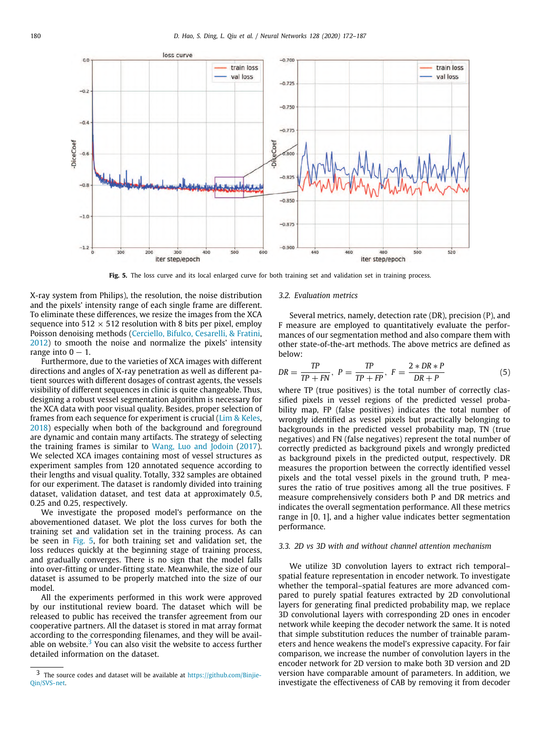

**Fig. 5.** The loss curve and its local enlarged curve for both training set and validation set in training process.

<span id="page-8-0"></span>X-ray system from Philips), the resolution, the noise distribution and the pixels' intensity range of each single frame are different. To eliminate these differences, we resize the images from the XCA sequence into 512  $\times$  512 resolution with 8 bits per pixel, employ Poisson denoising methods [\(Cerciello, Bifulco, Cesarelli, & Fratini,](#page-14-37) [2012\)](#page-14-37) to smooth the noise and normalize the pixels' intensity range into  $0 - 1$ .

Furthermore, due to the varieties of XCA images with different directions and angles of X-ray penetration as well as different patient sources with different dosages of contrast agents, the vessels visibility of different sequences in clinic is quite changeable. Thus, designing a robust vessel segmentation algorithm is necessary for the XCA data with poor visual quality. Besides, proper selection of frames from each sequence for experiment is crucial [\(Lim & Keles,](#page-14-12) [2018\)](#page-14-12) especially when both of the background and foreground are dynamic and contain many artifacts. The strategy of selecting the training frames is similar to [Wang, Luo and Jodoin](#page-15-35) ([2017\)](#page-15-35). We selected XCA images containing most of vessel structures as experiment samples from 120 annotated sequence according to their lengths and visual quality. Totally, 332 samples are obtained for our experiment. The dataset is randomly divided into training dataset, validation dataset, and test data at approximately 0.5, 0.25 and 0.25, respectively.

We investigate the proposed model's performance on the abovementioned dataset. We plot the loss curves for both the training set and validation set in the training process. As can be seen in [Fig.](#page-8-0) [5](#page-8-0), for both training set and validation set, the loss reduces quickly at the beginning stage of training process, and gradually converges. There is no sign that the model falls into over-fitting or under-fitting state. Meanwhile, the size of our dataset is assumed to be properly matched into the size of our model.

All the experiments performed in this work were approved by our institutional review board. The dataset which will be released to public has received the transfer agreement from our cooperative partners. All the dataset is stored in mat array format according to the corresponding filenames, and they will be available on website. $3$  You can also visit the website to access further detailed information on the dataset.

#### *3.2. Evaluation metrics*

Several metrics, namely, detection rate (DR), precision (P), and F measure are employed to quantitatively evaluate the performances of our segmentation method and also compare them with other state-of-the-art methods. The above metrics are defined as below:

$$
DR = \frac{TP}{TP + FN}, \ P = \frac{TP}{TP + FP}, \ F = \frac{2 * DR * P}{DR + P}
$$
(5)

where TP (true positives) is the total number of correctly classified pixels in vessel regions of the predicted vessel probability map, FP (false positives) indicates the total number of wrongly identified as vessel pixels but practically belonging to backgrounds in the predicted vessel probability map, TN (true negatives) and FN (false negatives) represent the total number of correctly predicted as background pixels and wrongly predicted as background pixels in the predicted output, respectively. DR measures the proportion between the correctly identified vessel pixels and the total vessel pixels in the ground truth, P measures the ratio of true positives among all the true positives. F measure comprehensively considers both P and DR metrics and indicates the overall segmentation performance. All these metrics range in [0, 1], and a higher value indicates better segmentation performance.

### *3.3. 2D vs 3D with and without channel attention mechanism*

We utilize 3D convolution layers to extract rich temporal– spatial feature representation in encoder network. To investigate whether the temporal–spatial features are more advanced compared to purely spatial features extracted by 2D convolutional layers for generating final predicted probability map, we replace 3D convolutional layers with corresponding 2D ones in encoder network while keeping the decoder network the same. It is noted that simple substitution reduces the number of trainable parameters and hence weakens the model's expressive capacity. For fair comparison, we increase the number of convolution layers in the encoder network for 2D version to make both 3D version and 2D version have comparable amount of parameters. In addition, we investigate the effectiveness of CAB by removing it from decoder

<span id="page-8-1"></span><sup>3</sup> The source codes and dataset will be available at [https://github.com/Binjie-](https://github.com/Binjie-Qin/SVS-net)[Qin/SVS-net](https://github.com/Binjie-Qin/SVS-net).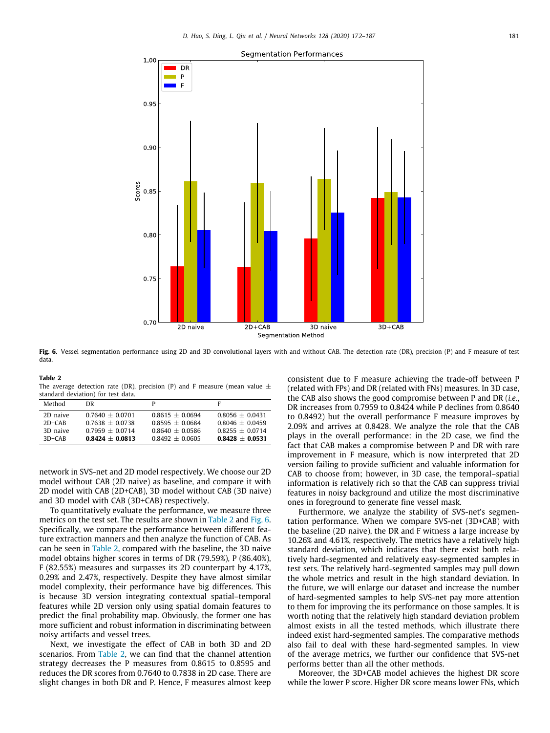

<span id="page-9-1"></span>**Fig. 6.** Vessel segmentation performance using 2D and 3D convolutional layers with and without CAB. The detection rate (DR), precision (P) and F measure of test data.

#### **Table 2** The average detection rate (DR), precision (P) and F measure (mean value  $\pm$ standard deviation) for test data.

<span id="page-9-0"></span>

| Method     | DR.               |                   | F                 |
|------------|-------------------|-------------------|-------------------|
| 2D naive   | $0.7640 + 0.0701$ | $0.8615 + 0.0694$ | $0.8056 + 0.0431$ |
| $2D + CAB$ | $0.7638 + 0.0738$ | $0.8595 + 0.0684$ | $0.8046 + 0.0459$ |
| 3D naive   | $0.7959 + 0.0714$ | $0.8640 + 0.0586$ | $0.8255 + 0.0714$ |
| $3D + CAB$ | $0.8424 + 0.0813$ | $0.8492 + 0.0605$ | $0.8428 + 0.0531$ |

network in SVS-net and 2D model respectively. We choose our 2D model without CAB (2D naive) as baseline, and compare it with 2D model with CAB (2D+CAB), 3D model without CAB (3D naive) and 3D model with CAB (3D+CAB) respectively.

To quantitatively evaluate the performance, we measure three metrics on the test set. The results are shown in [Table](#page-9-0) [2](#page-9-0) and [Fig.](#page-9-1) [6.](#page-9-1) Specifically, we compare the performance between different feature extraction manners and then analyze the function of CAB. As can be seen in [Table](#page-9-0) [2](#page-9-0), compared with the baseline, the 3D naive model obtains higher scores in terms of DR (79.59%), P (86.40%), F (82.55%) measures and surpasses its 2D counterpart by 4.17%, 0.29% and 2.47%, respectively. Despite they have almost similar model complexity, their performance have big differences. This is because 3D version integrating contextual spatial–temporal features while 2D version only using spatial domain features to predict the final probability map. Obviously, the former one has more sufficient and robust information in discriminating between noisy artifacts and vessel trees.

Next, we investigate the effect of CAB in both 3D and 2D scenarios. From [Table](#page-9-0) [2](#page-9-0), we can find that the channel attention strategy decreases the P measures from 0.8615 to 0.8595 and reduces the DR scores from 0.7640 to 0.7838 in 2D case. There are slight changes in both DR and P. Hence, F measures almost keep consistent due to F measure achieving the trade-off between P (related with FPs) and DR (related with FNs) measures. In 3D case, the CAB also shows the good compromise between P and DR (*i.e.*, DR increases from 0.7959 to 0.8424 while P declines from 0.8640 to 0.8492) but the overall performance F measure improves by 2.09% and arrives at 0.8428. We analyze the role that the CAB plays in the overall performance: in the 2D case, we find the fact that CAB makes a compromise between P and DR with rare improvement in F measure, which is now interpreted that 2D version failing to provide sufficient and valuable information for CAB to choose from; however, in 3D case, the temporal–spatial information is relatively rich so that the CAB can suppress trivial features in noisy background and utilize the most discriminative ones in foreground to generate fine vessel mask.

Furthermore, we analyze the stability of SVS-net's segmentation performance. When we compare SVS-net (3D+CAB) with the baseline (2D naive), the DR and F witness a large increase by 10.26% and 4.61%, respectively. The metrics have a relatively high standard deviation, which indicates that there exist both relatively hard-segmented and relatively easy-segmented samples in test sets. The relatively hard-segmented samples may pull down the whole metrics and result in the high standard deviation. In the future, we will enlarge our dataset and increase the number of hard-segmented samples to help SVS-net pay more attention to them for improving the its performance on those samples. It is worth noting that the relatively high standard deviation problem almost exists in all the tested methods, which illustrate there indeed exist hard-segmented samples. The comparative methods also fail to deal with these hard-segmented samples. In view of the average metrics, we further our confidence that SVS-net performs better than all the other methods.

Moreover, the 3D+CAB model achieves the highest DR score while the lower P score. Higher DR score means lower FNs, which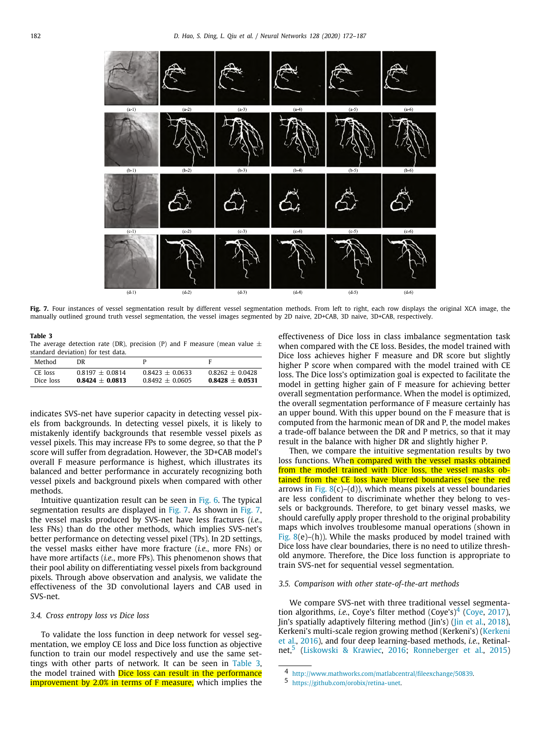

<span id="page-10-0"></span>Fig. 7. Four instances of vessel segmentation result by different vessel segmentation methods. From left to right, each row displays the original XCA image, the manually outlined ground truth vessel segmentation, the vessel images segmented by 2D naive, 2D+CAB, 3D naive, 3D+CAB, respectively.

**Table 3** The average detection rate (DR), precision (P) and F measure (mean value  $\pm$ standard deviation) for test data

<span id="page-10-1"></span>

| Method    | DR                |                   |                   |
|-----------|-------------------|-------------------|-------------------|
| CE loss   | $0.8197 + 0.0814$ | $0.8423 + 0.0633$ | $0.8262 + 0.0428$ |
| Dice loss | $0.8424 + 0.0813$ | $0.8492 + 0.0605$ | $0.8428 + 0.0531$ |

indicates SVS-net have superior capacity in detecting vessel pixels from backgrounds. In detecting vessel pixels, it is likely to mistakenly identify backgrounds that resemble vessel pixels as vessel pixels. This may increase FPs to some degree, so that the P score will suffer from degradation. However, the 3D+CAB model's overall F measure performance is highest, which illustrates its balanced and better performance in accurately recognizing both vessel pixels and background pixels when compared with other methods.

Intuitive quantization result can be seen in [Fig.](#page-9-1) [6](#page-9-1). The typical segmentation results are displayed in [Fig.](#page-10-0) [7.](#page-10-0) As shown in [Fig.](#page-10-0) [7,](#page-10-0) the vessel masks produced by SVS-net have less fractures (*i.e.*, less FNs) than do the other methods, which implies SVS-net's better performance on detecting vessel pixel (TPs). In 2D settings, the vessel masks either have more fracture (*i.e.*, more FNs) or have more artifacts (*i.e.*, more FPs). This phenomenon shows that their pool ability on differentiating vessel pixels from background pixels. Through above observation and analysis, we validate the effectiveness of the 3D convolutional layers and CAB used in SVS-net.

#### *3.4. Cross entropy loss vs Dice loss*

To validate the loss function in deep network for vessel segmentation, we employ CE loss and Dice loss function as objective function to train our model respectively and use the same settings with other parts of network. It can be seen in [Table](#page-10-1) [3,](#page-10-1) the model trained with **Dice loss can result in the performance improvement by 2.0% in terms of F measure,** which implies the effectiveness of Dice loss in class imbalance segmentation task when compared with the CE loss. Besides, the model trained with Dice loss achieves higher F measure and DR score but slightly higher P score when compared with the model trained with CE loss. The Dice loss's optimization goal is expected to facilitate the model in getting higher gain of F measure for achieving better overall segmentation performance. When the model is optimized, the overall segmentation performance of F measure certainly has an upper bound. With this upper bound on the F measure that is computed from the harmonic mean of DR and P, the model makes a trade-off balance between the DR and P metrics, so that it may result in the balance with higher DR and slightly higher P.

Then, we compare the intuitive segmentation results by two loss functions. When compared with the vessel masks obtained from the model trained with Dice loss, the vessel masks obtained from the CE loss have blurred boundaries (see the red arrows in [Fig.](#page-11-0)  $8(c)$  $8(c)$ –(d)), which means pixels at vessel boundaries are less confident to discriminate whether they belong to vessels or backgrounds. Therefore, to get binary vessel masks, we should carefully apply proper threshold to the original probability maps which involves troublesome manual operations (shown in [Fig.](#page-11-0)  $8(e)$  $8(e)$ –(h)). While the masks produced by model trained with Dice loss have clear boundaries, there is no need to utilize threshold anymore. Therefore, the Dice loss function is appropriate to train SVS-net for sequential vessel segmentation.

#### *3.5. Comparison with other state-of-the-art methods*

<span id="page-10-2"></span>We compare SVS-net with three traditional vessel segmentation algorithms, *i.e.*, [Coye](#page-14-38)'s filter method  $(Coye's)^4$  $(Coye's)^4$  (Coye, [2017\)](#page-14-38), Jin's spatially adaptively filtering method (Jin's) ([Jin et al.,](#page-14-2) [2018\)](#page-14-2), Kerkeni's multi-scale region growing method (Kerkeni's) [\(Kerkeni](#page-14-3) [et al.,](#page-14-3) [2016\)](#page-14-3), and four deep learning-based methods, *i.e.*, Retinal-net,<sup>[5](#page-10-3)</sup> ([Liskowski & Krawiec](#page-14-23), [2016;](#page-14-23) [Ronneberger et al.](#page-15-9), [2015\)](#page-15-9)

<span id="page-10-3"></span><sup>4</sup> <http://www.mathworks.com/matlabcentral/fileexchange/50839>.

<sup>5</sup> [https://github.com/orobix/retina-unet.](https://github.com/orobix/retina-unet)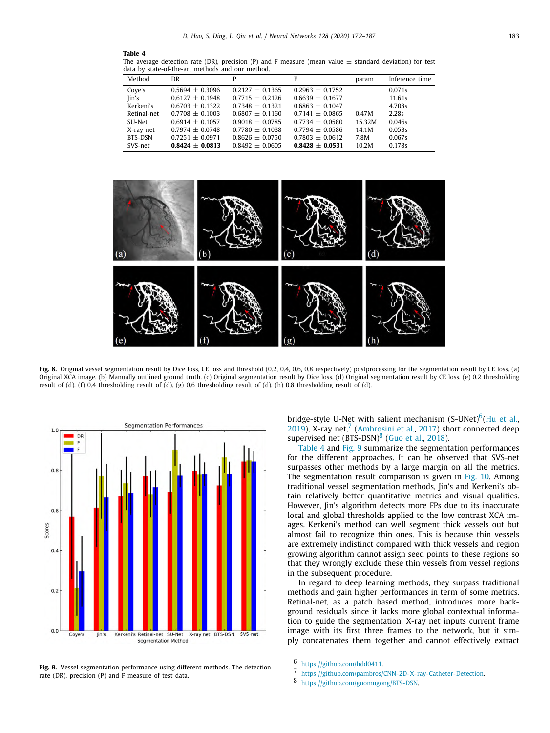#### <span id="page-11-4"></span>**Table 4**

The average detection rate (DR), precision (P) and F measure (mean value  $\pm$  standard deviation) for test data by state-of-the-art methods and our method.

| Method      | DR                  | Р                   | F                   | param  | Inference time |
|-------------|---------------------|---------------------|---------------------|--------|----------------|
| Cove's      | $0.5694 \pm 0.3096$ | $0.2127 + 0.1365$   | $0.2963 \pm 0.1752$ |        | 0.071s         |
| Jin's       | $0.6127 \pm 0.1948$ | $0.7715 + 0.2126$   | $0.6639 \pm 0.1677$ |        | 11.61s         |
| Kerkeni's   | $0.6703 + 0.1322$   | $0.7348 + 0.1321$   | $0.6863 \pm 0.1047$ |        | 4.708s         |
| Retinal-net | $0.7708 + 0.1003$   | $0.6807 + 0.1160$   | $0.7141 \pm 0.0865$ | 0.47M  | 2.28s          |
| SU-Net      | $0.6914 + 0.1057$   | $0.9018 + 0.0785$   | $0.7734 + 0.0580$   | 15.32M | 0.046s         |
| X-ray net   | $0.7974 + 0.0748$   | $0.7780 \pm 0.1038$ | $0.7794 + 0.0586$   | 14.1M  | 0.053s         |
| BTS-DSN     | $0.7251 + 0.0971$   | $0.8626 + 0.0750$   | $0.7803 \pm 0.0612$ | 7.8M   | 0.067s         |
| SVS-net     | $0.8424 + 0.0813$   | $0.8492 \pm 0.0605$ | $0.8428 + 0.0531$   | 10.2M  | 0.178s         |



<span id="page-11-0"></span>Fig. 8. Original vessel segmentation result by Dice loss, CE loss and threshold (0.2, 0.4, 0.6, 0.8 respectively) postprocessing for the segmentation result by CE loss. (a) Original XCA image. (b) Manually outlined ground truth. (c) Original segmentation result by Dice loss. (d) Original segmentation result by CE loss. (e) 0.2 thresholding result of (d). (f) 0.4 thresholding result of (d). (g) 0.6 thresholding result of (d). (h) 0.8 thresholding result of (d).



<span id="page-11-5"></span>**Fig. 9.** Vessel segmentation performance using different methods. The detection rate (DR), precision (P) and F measure of test data.

<span id="page-11-2"></span><span id="page-11-1"></span>bridge-style U-Net with salient mechanism  $(S$ -UNet)<sup>[6](#page-11-1)</sup>[\(Hu et al.,](#page-14-39)  $2019$ ), X-ray net,<sup>[7](#page-11-2)</sup> [\(Ambrosini et al.,](#page-14-13) [2017\)](#page-14-13) short connected deep supervised net  $(BTS-DSN)^8$  $(BTS-DSN)^8$  [\(Guo et al.](#page-14-25), [2018](#page-14-25)).

<span id="page-11-3"></span>[Table](#page-11-4) [4](#page-11-4) and [Fig.](#page-11-5) [9](#page-11-5) summarize the segmentation performances for the different approaches. It can be observed that SVS-net surpasses other methods by a large margin on all the metrics. The segmentation result comparison is given in [Fig.](#page-12-0) [10.](#page-12-0) Among traditional vessel segmentation methods, Jin's and Kerkeni's obtain relatively better quantitative metrics and visual qualities. However, Jin's algorithm detects more FPs due to its inaccurate local and global thresholds applied to the low contrast XCA images. Kerkeni's method can well segment thick vessels out but almost fail to recognize thin ones. This is because thin vessels are extremely indistinct compared with thick vessels and region growing algorithm cannot assign seed points to these regions so that they wrongly exclude these thin vessels from vessel regions in the subsequent procedure.

In regard to deep learning methods, they surpass traditional methods and gain higher performances in term of some metrics. Retinal-net, as a patch based method, introduces more background residuals since it lacks more global contextual information to guide the segmentation. X-ray net inputs current frame image with its first three frames to the network, but it simply concatenates them together and cannot effectively extract

<sup>6</sup> <https://github.com/hdd0411>.

<sup>7</sup> [https://github.com/pambros/CNN-2D-X-ray-Catheter-Detection.](https://github.com/pambros/CNN-2D-X-ray-Catheter-Detection)

<sup>8</sup> [https://github.com/guomugong/BTS-DSN.](https://github.com/guomugong/BTS-DSN)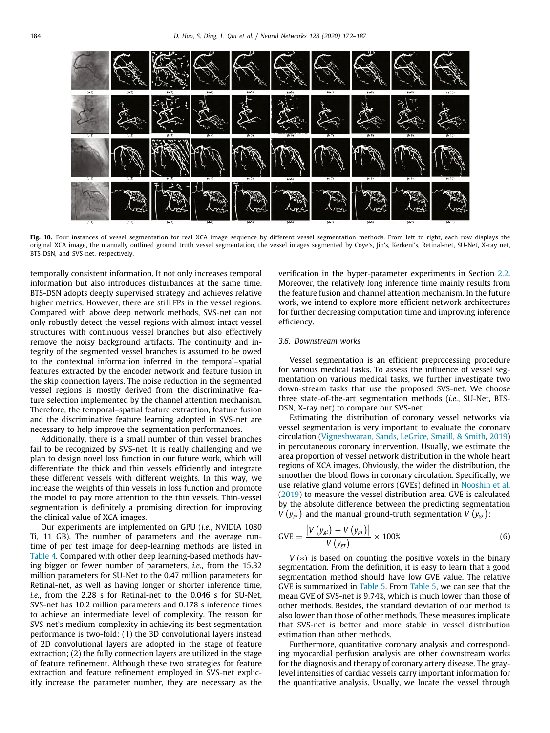

<span id="page-12-0"></span>**Fig. 10.** Four instances of vessel segmentation for real XCA image sequence by different vessel segmentation methods. From left to right, each row displays the original XCA image, the manually outlined ground truth vessel segmentation, the vessel images segmented by Coye's, Jin's, Kerkeni's, Retinal-net, SU-Net, X-ray net, BTS-DSN, and SVS-net, respectively.

temporally consistent information. It not only increases temporal information but also introduces disturbances at the same time. BTS-DSN adopts deeply supervised strategy and achieves relative higher metrics. However, there are still FPs in the vessel regions. Compared with above deep network methods, SVS-net can not only robustly detect the vessel regions with almost intact vessel structures with continuous vessel branches but also effectively remove the noisy background artifacts. The continuity and integrity of the segmented vessel branches is assumed to be owed to the contextual information inferred in the temporal–spatial features extracted by the encoder network and feature fusion in the skip connection layers. The noise reduction in the segmented vessel regions is mostly derived from the discriminative feature selection implemented by the channel attention mechanism. Therefore, the temporal–spatial feature extraction, feature fusion and the discriminative feature learning adopted in SVS-net are necessary to help improve the segmentation performances.

Additionally, there is a small number of thin vessel branches fail to be recognized by SVS-net. It is really challenging and we plan to design novel loss function in our future work, which will differentiate the thick and thin vessels efficiently and integrate these different vessels with different weights. In this way, we increase the weights of thin vessels in loss function and promote the model to pay more attention to the thin vessels. Thin-vessel segmentation is definitely a promising direction for improving the clinical value of XCA images.

Our experiments are implemented on GPU (*i.e.*, NVIDIA 1080 Ti, 11 GB). The number of parameters and the average runtime of per test image for deep-learning methods are listed in [Table](#page-11-4) [4.](#page-11-4) Compared with other deep learning-based methods having bigger or fewer number of parameters, *i.e.*, from the 15.32 million parameters for SU-Net to the 0.47 million parameters for Retinal-net, as well as having longer or shorter inference time, *i.e.*, from the 2.28 s for Retinal-net to the 0.046 s for SU-Net, SVS-net has 10.2 million parameters and 0.178 s inference times to achieve an intermediate level of complexity. The reason for SVS-net's medium-complexity in achieving its best segmentation performance is two-fold: (1) the 3D convolutional layers instead of 2D convolutional layers are adopted in the stage of feature extraction; (2) the fully connection layers are utilized in the stage of feature refinement. Although these two strategies for feature extraction and feature refinement employed in SVS-net explicitly increase the parameter number, they are necessary as the verification in the hyper-parameter experiments in Section [2.2.](#page-4-1) Moreover, the relatively long inference time mainly results from the feature fusion and channel attention mechanism. In the future work, we intend to explore more efficient network architectures for further decreasing computation time and improving inference efficiency.

#### *3.6. Downstream works*

Vessel segmentation is an efficient preprocessing procedure for various medical tasks. To assess the influence of vessel segmentation on various medical tasks, we further investigate two down-stream tasks that use the proposed SVS-net. We choose three state-of-the-art segmentation methods (*i.e.*, SU-Net, BTS-DSN, X-ray net) to compare our SVS-net.

Estimating the distribution of coronary vessel networks via vessel segmentation is very important to evaluate the coronary circulation [\(Vigneshwaran, Sands, LeGrice, Smaill, & Smith](#page-15-36), [2019\)](#page-15-36) in percutaneous coronary intervention. Usually, we estimate the area proportion of vessel network distribution in the whole heart regions of XCA images. Obviously, the wider the distribution, the smoother the blood flows in coronary circulation. Specifically, we use relative gland volume errors (GVEs) defined in [Nooshin et al.](#page-14-40) ([2019\)](#page-14-40) to measure the vessel distribution area. GVE is calculated by the absolute difference between the predicting segmentation  $V(y_{pr})$  and the manual ground-truth segmentation  $V(y_{gt})$ :

$$
GVE = \frac{\left|V\left(y_{gt}\right) - V\left(y_{pr}\right)\right|}{V\left(y_{gt}\right)} \times 100\% \tag{6}
$$

*V* (∗) is based on counting the positive voxels in the binary segmentation. From the definition, it is easy to learn that a good segmentation method should have low GVE value. The relative GVE is summarized in [Table](#page-13-0) [5](#page-13-0). From [Table](#page-13-0) [5,](#page-13-0) we can see that the mean GVE of SVS-net is 9.74%, which is much lower than those of other methods. Besides, the standard deviation of our method is also lower than those of other methods. These measures implicate that SVS-net is better and more stable in vessel distribution estimation than other methods.

Furthermore, quantitative coronary analysis and corresponding myocardial perfusion analysis are other downstream works for the diagnosis and therapy of coronary artery disease. The graylevel intensities of cardiac vessels carry important information for the quantitative analysis. Usually, we locate the vessel through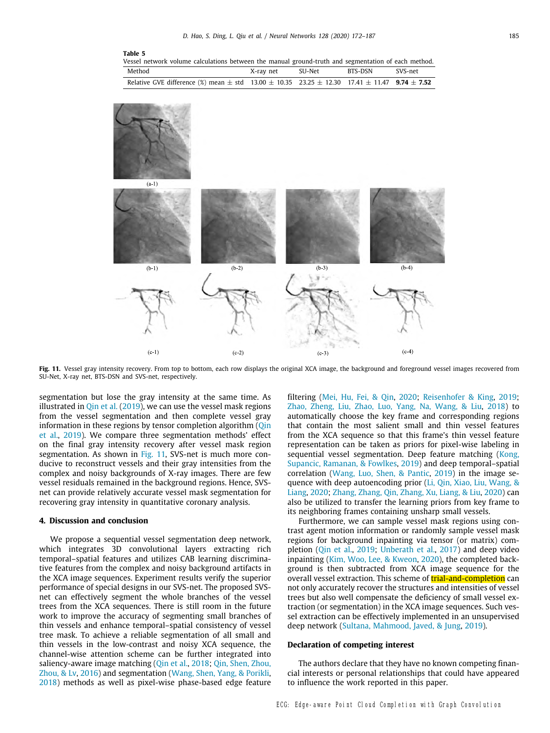<span id="page-13-0"></span>

| Table 5<br>Vessel network volume calculations between the manual ground-truth and segmentation of each method.   |           |        |         |         |
|------------------------------------------------------------------------------------------------------------------|-----------|--------|---------|---------|
| Method                                                                                                           | X-ray net | SU-Net | BTS-DSN | SVS-net |
| Relative GVE difference (%) mean $\pm$ std 13.00 $\pm$ 10.35 23.25 $\pm$ 12.30 17.41 $\pm$ 11.47 9.74 $\pm$ 7.52 |           |        |         |         |



<span id="page-13-1"></span>Fig. 11. Vessel gray intensity recovery. From top to bottom, each row displays the original XCA image, the background and foreground vessel images recovered from SU-Net, X-ray net, BTS-DSN and SVS-net, respectively.

segmentation but lose the gray intensity at the same time. As illustrated in  $Q$ in et al. ([2019\)](#page-15-7), we can use the vessel mask regions from the vessel segmentation and then complete vessel gray information in these regions by tensor completion algorithm (*Qin*) [et al.,](#page-15-7) [2019](#page-15-7)). We compare three segmentation methods' effect on the final gray intensity recovery after vessel mask region segmentation. As shown in [Fig.](#page-13-1) [11](#page-13-1), SVS-net is much more conducive to reconstruct vessels and their gray intensities from the complex and noisy backgrounds of X-ray images. There are few vessel residuals remained in the background regions. Hence, SVSnet can provide relatively accurate vessel mask segmentation for recovering gray intensity in quantitative coronary analysis.

#### **4. Discussion and conclusion**

We propose a sequential vessel segmentation deep network, which integrates 3D convolutional layers extracting rich temporal–spatial features and utilizes CAB learning discriminative features from the complex and noisy background artifacts in the XCA image sequences. Experiment results verify the superior performance of special designs in our SVS-net. The proposed SVSnet can effectively segment the whole branches of the vessel trees from the XCA sequences. There is still room in the future work to improve the accuracy of segmenting small branches of thin vessels and enhance temporal–spatial consistency of vessel tree mask. To achieve a reliable segmentation of all small and thin vessels in the low-contrast and noisy XCA sequence, the channel-wise attention scheme can be further integrated into saliency-aware image matching [\(Qin et al.](#page-15-37), [2018;](#page-15-37) [Qin, Shen, Zhou,](#page-15-38) [Zhou, & Lv,](#page-15-38) [2016](#page-15-38)) and segmentation ([Wang, Shen, Yang, & Porikli,](#page-15-39) [2018\)](#page-15-39) methods as well as pixel-wise phase-based edge feature filtering [\(Mei, Hu, Fei, & Qin,](#page-15-40) [2020;](#page-15-40) [Reisenhofer & King,](#page-15-41) [2019;](#page-15-41) [Zhao, Zheng, Liu, Zhao, Luo, Yang, Na, Wang, & Liu,](#page-15-42) [2018](#page-15-42)) to automatically choose the key frame and corresponding regions that contain the most salient small and thin vessel features from the XCA sequence so that this frame's thin vessel feature representation can be taken as priors for pixel-wise labeling in sequential vessel segmentation. Deep feature matching [\(Kong,](#page-14-41) [Supancic, Ramanan, & Fowlkes,](#page-14-41) [2019\)](#page-14-41) and deep temporal–spatial correlation [\(Wang, Luo, Shen, & Pantic](#page-15-43), [2019\)](#page-15-43) in the image sequence with deep autoencoding prior ([Li, Qin, Xiao, Liu, Wang, &](#page-14-42) [Liang,](#page-14-42) [2020](#page-14-42); [Zhang, Zhang, Qin, Zhang, Xu, Liang, & Liu,](#page-15-44) [2020\)](#page-15-44) can also be utilized to transfer the learning priors from key frame to its neighboring frames containing unsharp small vessels.

Furthermore, we can sample vessel mask regions using contrast agent motion information or randomly sample vessel mask regions for background inpainting via tensor (or matrix) completion [\(Qin et al.](#page-15-7), [2019;](#page-15-7) [Unberath et al.](#page-15-4), [2017\)](#page-15-4) and deep video inpainting ([Kim, Woo, Lee, & Kweon,](#page-14-43) [2020\)](#page-14-43), the completed background is then subtracted from XCA image sequence for the overall vessel extraction. This scheme of **trial-and-completion** can not only accurately recover the structures and intensities of vessel trees but also well compensate the deficiency of small vessel extraction (or segmentation) in the XCA image sequences. Such vessel extraction can be effectively implemented in an unsupervised deep network [\(Sultana, Mahmood, Javed, & Jung,](#page-15-45) [2019\)](#page-15-45).

#### **Declaration of competing interest**

The authors declare that they have no known competing financial interests or personal relationships that could have appeared to influence the work reported in this paper.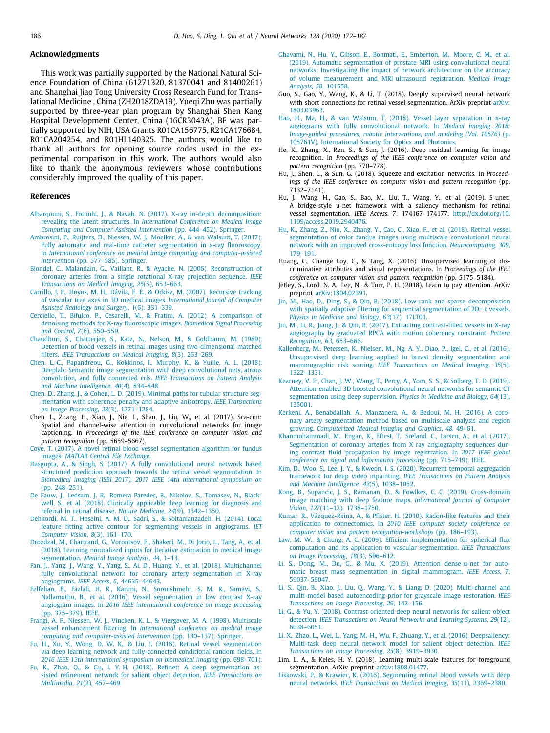#### **Acknowledgments**

This work was partially supported by the National Natural Science Foundation of China (61271320, 81370041 and 81400261) and Shanghai Jiao Tong University Cross Research Fund for Translational Medicine , China (ZH2018ZDA19). Yueqi Zhu was partially supported by three-year plan program by Shanghai Shen Kang Hospital Development Center, China (16CR3043A). BF was partially supported by NIH, USA Grants R01CA156775, R21CA176684, R01CA204254, and R01HL140325. The authors would like to thank all authors for opening source codes used in the experimental comparison in this work. The authors would also like to thank the anonymous reviewers whose contributions considerably improved the quality of this paper.

#### **References**

- <span id="page-14-0"></span>[Albarqouni, S., Fotouhi, J., & Navab, N. \(2017\). X-ray in-depth decomposition:](http://refhub.elsevier.com/S0893-6080(20)30167-2/sb1) revealing the latent structures. In *[International Conference on Medical Image](http://refhub.elsevier.com/S0893-6080(20)30167-2/sb1) [Computing and Computer-Assisted Intervention](http://refhub.elsevier.com/S0893-6080(20)30167-2/sb1)* (pp. 444–452). Springer.
- <span id="page-14-13"></span>[Ambrosini, P., Ruijters, D., Niessen, W. J., Moelker, A., & van Walsum, T. \(2017\).](http://refhub.elsevier.com/S0893-6080(20)30167-2/sb2) [Fully automatic and real-time catheter segmentation in x-ray fluoroscopy.](http://refhub.elsevier.com/S0893-6080(20)30167-2/sb2) In *[International conference on medical image computing and computer-assisted](http://refhub.elsevier.com/S0893-6080(20)30167-2/sb2) intervention* [\(pp. 577–585\). Springer.](http://refhub.elsevier.com/S0893-6080(20)30167-2/sb2)
- <span id="page-14-6"></span>[Blondel, C., Malandain, G., Vaillant, R., & Ayache, N. \(2006\). Reconstruction of](http://refhub.elsevier.com/S0893-6080(20)30167-2/sb3) [coronary arteries from a single rotational X-ray projection sequence.](http://refhub.elsevier.com/S0893-6080(20)30167-2/sb3) *IEEE [Transactions on Medical Imaging](http://refhub.elsevier.com/S0893-6080(20)30167-2/sb3)*, *25*(5), 653–663.
- <span id="page-14-21"></span>[Carrillo, J. F., Hoyos, M. H., Dávila, E. E., & Orkisz, M. \(2007\). Recursive tracking](http://refhub.elsevier.com/S0893-6080(20)30167-2/sb4) [of vascular tree axes in 3D medical images.](http://refhub.elsevier.com/S0893-6080(20)30167-2/sb4) *International Journal of Computer [Assisted Radiology and Surgery](http://refhub.elsevier.com/S0893-6080(20)30167-2/sb4)*, *1*(6), 331–339.
- <span id="page-14-37"></span>[Cerciello, T., Bifulco, P., Cesarelli, M., & Fratini, A. \(2012\). A comparison of](http://refhub.elsevier.com/S0893-6080(20)30167-2/sb5) [denoising methods for X-ray fluoroscopic images.](http://refhub.elsevier.com/S0893-6080(20)30167-2/sb5) *Biomedical Signal Processing and Control*, *7*[\(6\), 550–559.](http://refhub.elsevier.com/S0893-6080(20)30167-2/sb5)
- <span id="page-14-15"></span>[Chaudhuri, S., Chatterjee, S., Katz, N., Nelson, M., & Goldbaum, M. \(1989\).](http://refhub.elsevier.com/S0893-6080(20)30167-2/sb6) [Detection of blood vessels in retinal images using two-dimensional matched](http://refhub.elsevier.com/S0893-6080(20)30167-2/sb6) filters. *[IEEE Transactions on Medical Imaging](http://refhub.elsevier.com/S0893-6080(20)30167-2/sb6)*, *8*(3), 263–269.
- <span id="page-14-7"></span>[Chen, L.-C., Papandreou, G., Kokkinos, I., Murphy, K., & Yuille, A. L. \(2018\).](http://refhub.elsevier.com/S0893-6080(20)30167-2/sb7) [Deeplab: Semantic image segmentation with deep convolutional nets, atrous](http://refhub.elsevier.com/S0893-6080(20)30167-2/sb7) [convolution, and fully connected crfs.](http://refhub.elsevier.com/S0893-6080(20)30167-2/sb7) *IEEE Transactions on Pattern Analysis [and Machine Intelligence](http://refhub.elsevier.com/S0893-6080(20)30167-2/sb7)*, *40*(4), 834–848.
- <span id="page-14-18"></span>[Chen, D., Zhang, J., & Cohen, L. D. \(2019\). Minimal paths for tubular structure seg](http://refhub.elsevier.com/S0893-6080(20)30167-2/sb8)[mentation with coherence penalty and adaptive anisotropy.](http://refhub.elsevier.com/S0893-6080(20)30167-2/sb8) *IEEE Transactions [on Image Processing](http://refhub.elsevier.com/S0893-6080(20)30167-2/sb8)*, *28*(3), 1271–1284.
- <span id="page-14-28"></span>Chen, L., Zhang, H., Xiao, J., Nie, L., Shao, J., Liu, W., et al. (2017). Sca-cnn: Spatial and channel-wise attention in convolutional networks for image captioning. In *Proceedings of the IEEE conference on computer vision and pattern recognition* (pp. 5659–5667).
- <span id="page-14-38"></span>[Coye, T. \(2017\). A novel retinal blood vessel segmentation algorithm for fundus](http://refhub.elsevier.com/S0893-6080(20)30167-2/sb10) images. *[MATLAB Central File Exchange](http://refhub.elsevier.com/S0893-6080(20)30167-2/sb10)*.
- <span id="page-14-24"></span>[Dasgupta, A., & Singh, S. \(2017\). A fully convolutional neural network based](http://refhub.elsevier.com/S0893-6080(20)30167-2/sb11) [structured prediction approach towards the retinal vessel segmentation. In](http://refhub.elsevier.com/S0893-6080(20)30167-2/sb11) *[Biomedical imaging \(ISBI 2017\), 2017 IEEE 14th international symposium on](http://refhub.elsevier.com/S0893-6080(20)30167-2/sb11)* [\(pp. 248–251\).](http://refhub.elsevier.com/S0893-6080(20)30167-2/sb11)
- <span id="page-14-22"></span>[De Fauw, J., Ledsam, J. R., Romera-Paredes, B., Nikolov, S., Tomasev, N., Black](http://refhub.elsevier.com/S0893-6080(20)30167-2/sb12)[well, S., et al. \(2018\). Clinically applicable deep learning for diagnosis and](http://refhub.elsevier.com/S0893-6080(20)30167-2/sb12) [referral in retinal disease.](http://refhub.elsevier.com/S0893-6080(20)30167-2/sb12) *Nature Medicine*, *24*(9), 1342–1350.
- <span id="page-14-19"></span>[Dehkordi, M. T., Hoseini, A. M. D., Sadri, S., & Soltanianzadeh, H. \(2014\). Local](http://refhub.elsevier.com/S0893-6080(20)30167-2/sb13) [feature fitting active contour for segmenting vessels in angiograms.](http://refhub.elsevier.com/S0893-6080(20)30167-2/sb13) *IET [Computer Vision](http://refhub.elsevier.com/S0893-6080(20)30167-2/sb13)*, *8*(3), 161–170.
- <span id="page-14-36"></span>[Drozdzal, M., Chartrand, G., Vorontsov, E., Shakeri, M., Di Jorio, L., Tang, A., et al.](http://refhub.elsevier.com/S0893-6080(20)30167-2/sb14) [\(2018\). Learning normalized inputs for iterative estimation in medical image](http://refhub.elsevier.com/S0893-6080(20)30167-2/sb14) segmentation. *[Medical Image Analysis](http://refhub.elsevier.com/S0893-6080(20)30167-2/sb14)*, *44*, 1–13.
- <span id="page-14-5"></span>[Fan, J., Yang, J., Wang, Y., Yang, S., Ai, D., Huang, Y., et al. \(2018\). Multichannel](http://refhub.elsevier.com/S0893-6080(20)30167-2/sb15) [fully convolutional network for coronary artery segmentation in X-ray](http://refhub.elsevier.com/S0893-6080(20)30167-2/sb15) angiograms. *IEEE Access*, *6*[, 44635–44643.](http://refhub.elsevier.com/S0893-6080(20)30167-2/sb15)
- <span id="page-14-4"></span>[Felfelian, B., Fazlali, H. R., Karimi, N., Soroushmehr, S. M. R., Samavi, S.,](http://refhub.elsevier.com/S0893-6080(20)30167-2/sb16) [Nallamothu, B., et al. \(2016\). Vessel segmentation in low contrast X-ray](http://refhub.elsevier.com/S0893-6080(20)30167-2/sb16) angiogram images. In *[2016 IEEE international conference on image processing](http://refhub.elsevier.com/S0893-6080(20)30167-2/sb16)* [\(pp. 375–379\). IEEE.](http://refhub.elsevier.com/S0893-6080(20)30167-2/sb16)
- <span id="page-14-16"></span>[Frangi, A. F., Niessen, W. J., Vincken, K. L., & Viergever, M. A. \(1998\). Multiscale](http://refhub.elsevier.com/S0893-6080(20)30167-2/sb17) vessel enhancement filtering. In *[International conference on medical image](http://refhub.elsevier.com/S0893-6080(20)30167-2/sb17) [computing and computer-assisted intervention](http://refhub.elsevier.com/S0893-6080(20)30167-2/sb17)* (pp. 130–137). Springer.
- <span id="page-14-26"></span>[Fu, H., Xu, Y., Wong, D. W. K., & Liu, J. \(2016\). Retinal vessel segmentation](http://refhub.elsevier.com/S0893-6080(20)30167-2/sb18) [via deep learning network and fully-connected conditional random fields. In](http://refhub.elsevier.com/S0893-6080(20)30167-2/sb18) *[2016 IEEE 13th international symposium on biomedical imaging](http://refhub.elsevier.com/S0893-6080(20)30167-2/sb18)* (pp. 698–701).
- <span id="page-14-33"></span>[Fu, K., Zhao, Q., & Gu, I. Y.-H. \(2018\). Refinet: A deep segmentation as](http://refhub.elsevier.com/S0893-6080(20)30167-2/sb19)[sisted refinement network for salient object detection.](http://refhub.elsevier.com/S0893-6080(20)30167-2/sb19) *IEEE Transactions on Multimedia*, *21*[\(2\), 457–469.](http://refhub.elsevier.com/S0893-6080(20)30167-2/sb19)
- <span id="page-14-40"></span>[Ghavami, N., Hu, Y., Gibson, E., Bonmati, E., Emberton, M., Moore, C. M., et al.](http://refhub.elsevier.com/S0893-6080(20)30167-2/sb20) [\(2019\). Automatic segmentation of prostate MRI using convolutional neural](http://refhub.elsevier.com/S0893-6080(20)30167-2/sb20) [networks: Investigating the impact of network architecture on the accuracy](http://refhub.elsevier.com/S0893-6080(20)30167-2/sb20) [of volume measurement and MRI-ultrasound registration.](http://refhub.elsevier.com/S0893-6080(20)30167-2/sb20) *Medical Image Analysis*, *58*[, 101558.](http://refhub.elsevier.com/S0893-6080(20)30167-2/sb20)
- <span id="page-14-25"></span>Guo, S., Gao, Y., Wang, K., & Li, T. (2018). Deeply supervised neural network with short connections for retinal vessel segmentation. ArXiv preprint [arXiv:](http://arxiv.org/abs/1803.03963) [1803.03963.](http://arxiv.org/abs/1803.03963)
- <span id="page-14-10"></span>[Hao, H., Ma, H., & van Walsum, T. \(2018\). Vessel layer separation in x-ray](http://refhub.elsevier.com/S0893-6080(20)30167-2/sb22) [angiograms with fully convolutional network. In](http://refhub.elsevier.com/S0893-6080(20)30167-2/sb22) *Medical imaging 2018: [Image-guided procedures, robotic interventions, and modeling \(Vol. 10576\)](http://refhub.elsevier.com/S0893-6080(20)30167-2/sb22)* (p. [105761V\). International Society for Optics and Photonics.](http://refhub.elsevier.com/S0893-6080(20)30167-2/sb22)
- <span id="page-14-14"></span>He, K., Zhang, X., Ren, S., & Sun, J. (2016). Deep residual learning for image recognition. In *Proceedings of the IEEE conference on computer vision and pattern recognition* (pp. 770–778).
- <span id="page-14-29"></span>Hu, J., Shen, L., & Sun, G. (2018). Squeeze-and-excitation networks. In *Proceedings of the IEEE conference on computer vision and pattern recognition* (pp. 7132–7141).
- <span id="page-14-39"></span>Hu, J., Wang, H., Gao, S., Bao, M., Liu, T., Wang, Y., et al. (2019). S-unet: A bridge-style u-net framework with a saliency mechanism for retinal vessel segmentation. *IEEE Access*, *7*, 174167–174177. [http://dx.doi.org/10.](http://dx.doi.org/10.1109/access.2019.2940476) [1109/access.2019.2940476.](http://dx.doi.org/10.1109/access.2019.2940476)
- <span id="page-14-27"></span>[Hu, K., Zhang, Z., Niu, X., Zhang, Y., Cao, C., Xiao, F., et al. \(2018\). Retinal vessel](http://refhub.elsevier.com/S0893-6080(20)30167-2/sb26) [segmentation of color fundus images using multiscale convolutional neural](http://refhub.elsevier.com/S0893-6080(20)30167-2/sb26) [network with an improved cross-entropy loss function.](http://refhub.elsevier.com/S0893-6080(20)30167-2/sb26) *Neurocomputing*, *309*, [179–191.](http://refhub.elsevier.com/S0893-6080(20)30167-2/sb26)
- <span id="page-14-8"></span>Huang, C., Change Loy, C., & Tang, X. (2016). Unsupervised learning of discriminative attributes and visual representations. In *Proceedings of the IEEE conference on computer vision and pattern recognition* (pp. 5175–5184).
- <span id="page-14-30"></span>Jetley, S., Lord, N. A., Lee, N., & Torr, P. H. (2018). Learn to pay attention. ArXiv preprint [arXiv:1804.02391](http://arxiv.org/abs/1804.02391).
- <span id="page-14-2"></span>[Jin, M., Hao, D., Ding, S., & Qin, B. \(2018\). Low-rank and sparse decomposition](http://refhub.elsevier.com/S0893-6080(20)30167-2/sb29) [with spatially adaptive filtering for sequential segmentation of 2D+ t vessels.](http://refhub.elsevier.com/S0893-6080(20)30167-2/sb29) *[Physics in Medicine and Biology](http://refhub.elsevier.com/S0893-6080(20)30167-2/sb29)*, *63*(17), 17LT01.
- <span id="page-14-1"></span>[Jin, M., Li, R., Jiang, J., & Qin, B. \(2017\). Extracting contrast-filled vessels in X-ray](http://refhub.elsevier.com/S0893-6080(20)30167-2/sb30) [angiography by graduated RPCA with motion coherency constraint.](http://refhub.elsevier.com/S0893-6080(20)30167-2/sb30) *Pattern [Recognition](http://refhub.elsevier.com/S0893-6080(20)30167-2/sb30)*, *63*, 653–666.
- <span id="page-14-9"></span>[Kallenberg, M., Petersen, K., Nielsen, M., Ng, A. Y., Diao, P., Igel, C., et al. \(2016\).](http://refhub.elsevier.com/S0893-6080(20)30167-2/sb31) [Unsupervised deep learning applied to breast density segmentation and](http://refhub.elsevier.com/S0893-6080(20)30167-2/sb31) mammographic risk scoring. *[IEEE Transactions on Medical Imaging](http://refhub.elsevier.com/S0893-6080(20)30167-2/sb31)*, *35*(5), [1322–1331.](http://refhub.elsevier.com/S0893-6080(20)30167-2/sb31)
- <span id="page-14-31"></span>[Kearney, V. P., Chan, J. W., Wang, T., Perry, A., Yom, S. S., & Solberg, T. D. \(2019\).](http://refhub.elsevier.com/S0893-6080(20)30167-2/sb32) [Attention-enabled 3D boosted convolutional neural networks for semantic CT](http://refhub.elsevier.com/S0893-6080(20)30167-2/sb32) [segmentation using deep supervision.](http://refhub.elsevier.com/S0893-6080(20)30167-2/sb32) *Physics in Medicine and Biology*, *64*(13), [135001.](http://refhub.elsevier.com/S0893-6080(20)30167-2/sb32)
- <span id="page-14-3"></span>[Kerkeni, A., Benabdallah, A., Manzanera, A., & Bedoui, M. H. \(2016\). A coro](http://refhub.elsevier.com/S0893-6080(20)30167-2/sb33)[nary artery segmentation method based on multiscale analysis and region](http://refhub.elsevier.com/S0893-6080(20)30167-2/sb33) growing. *[Computerized Medical Imaging and Graphics](http://refhub.elsevier.com/S0893-6080(20)30167-2/sb33)*, *48*, 49–61.
- <span id="page-14-11"></span>[Khanmohammadi, M., Engan, K., Eftest, T., Sœland, C., Larsen, A., et al. \(2017\).](http://refhub.elsevier.com/S0893-6080(20)30167-2/sb34) [Segmentation of coronary arteries from X-ray angiography sequences dur](http://refhub.elsevier.com/S0893-6080(20)30167-2/sb34)[ing contrast fluid propagation by image registration. In](http://refhub.elsevier.com/S0893-6080(20)30167-2/sb34) *2017 IEEE global [conference on signal and information processing](http://refhub.elsevier.com/S0893-6080(20)30167-2/sb34)* (pp. 715–719). IEEE.
- <span id="page-14-43"></span>[Kim, D., Woo, S., Lee, J.-Y., & Kweon, I. S. \(2020\). Recurrent temporal aggregation](http://refhub.elsevier.com/S0893-6080(20)30167-2/sb35) [framework for deep video inpainting.](http://refhub.elsevier.com/S0893-6080(20)30167-2/sb35) *IEEE Transactions on Pattern Analysis [and Machine Intelligence](http://refhub.elsevier.com/S0893-6080(20)30167-2/sb35)*, *42*(5), 1038–1052.
- <span id="page-14-41"></span>[Kong, B., Supancic, J. S., Ramanan, D., & Fowlkes, C. C. \(2019\). Cross-domain](http://refhub.elsevier.com/S0893-6080(20)30167-2/sb36) [image matching with deep feature maps.](http://refhub.elsevier.com/S0893-6080(20)30167-2/sb36) *International Journal of Computer Vision*, *127*[\(11–12\), 1738–1750.](http://refhub.elsevier.com/S0893-6080(20)30167-2/sb36)
- <span id="page-14-17"></span>[Kumar, R., Vázquez-Reina, A., & Pfister, H. \(2010\). Radon-like features and their](http://refhub.elsevier.com/S0893-6080(20)30167-2/sb37) application to connectomics. In *[2010 IEEE computer society conference on](http://refhub.elsevier.com/S0893-6080(20)30167-2/sb37) [computer vision and pattern recognition-workshops](http://refhub.elsevier.com/S0893-6080(20)30167-2/sb37)* (pp. 186–193).
- <span id="page-14-20"></span>[Law, M. W., & Chung, A. C. \(2009\). Efficient implementation for spherical flux](http://refhub.elsevier.com/S0893-6080(20)30167-2/sb38) [computation and its application to vascular segmentation.](http://refhub.elsevier.com/S0893-6080(20)30167-2/sb38) *IEEE Transactions [on Image Processing](http://refhub.elsevier.com/S0893-6080(20)30167-2/sb38)*, *18*(3), 596–612.
- <span id="page-14-32"></span>[Li, S., Dong, M., Du, G., & Mu, X. \(2019\). Attention dense-u-net for auto](http://refhub.elsevier.com/S0893-6080(20)30167-2/sb39)[matic breast mass segmentation in digital mammogram.](http://refhub.elsevier.com/S0893-6080(20)30167-2/sb39) *IEEE Access*, *7*, [59037–59047.](http://refhub.elsevier.com/S0893-6080(20)30167-2/sb39)
- <span id="page-14-42"></span>[Li, S., Qin, B., Xiao, J., Liu, Q., Wang, Y., & Liang, D. \(2020\). Multi-channel and](http://refhub.elsevier.com/S0893-6080(20)30167-2/sb40) [multi-model-based autoencoding prior for grayscale image restoration.](http://refhub.elsevier.com/S0893-6080(20)30167-2/sb40) *IEEE [Transactions on Image Processing](http://refhub.elsevier.com/S0893-6080(20)30167-2/sb40)*, *29*, 142–156.
- <span id="page-14-34"></span>[Li, G., & Yu, Y. \(2018\). Contrast-oriented deep neural networks for salient object](http://refhub.elsevier.com/S0893-6080(20)30167-2/sb41) detection. *[IEEE Transactions on Neural Networks and Learning Systems](http://refhub.elsevier.com/S0893-6080(20)30167-2/sb41)*, *29*(12), [6038–6051.](http://refhub.elsevier.com/S0893-6080(20)30167-2/sb41)
- <span id="page-14-35"></span>[Li, X., Zhao, L., Wei, L., Yang, M.-H., Wu, F., Zhuang, Y., et al. \(2016\). Deepsaliency:](http://refhub.elsevier.com/S0893-6080(20)30167-2/sb42) [Multi-task deep neural network model for salient object detection.](http://refhub.elsevier.com/S0893-6080(20)30167-2/sb42) *IEEE [Transactions on Image Processing](http://refhub.elsevier.com/S0893-6080(20)30167-2/sb42)*, *25*(8), 3919–3930.
- <span id="page-14-12"></span>Lim, L. A., & Keles, H. Y. (2018). Learning multi-scale features for foreground segmentation. ArXiv preprint [arXiv:1808.01477](http://arxiv.org/abs/1808.01477).
- <span id="page-14-23"></span>[Liskowski, P., & Krawiec, K. \(2016\). Segmenting retinal blood vessels with deep](http://refhub.elsevier.com/S0893-6080(20)30167-2/sb44) neural networks. *[IEEE Transactions on Medical Imaging](http://refhub.elsevier.com/S0893-6080(20)30167-2/sb44)*, *35*(11), 2369–2380.